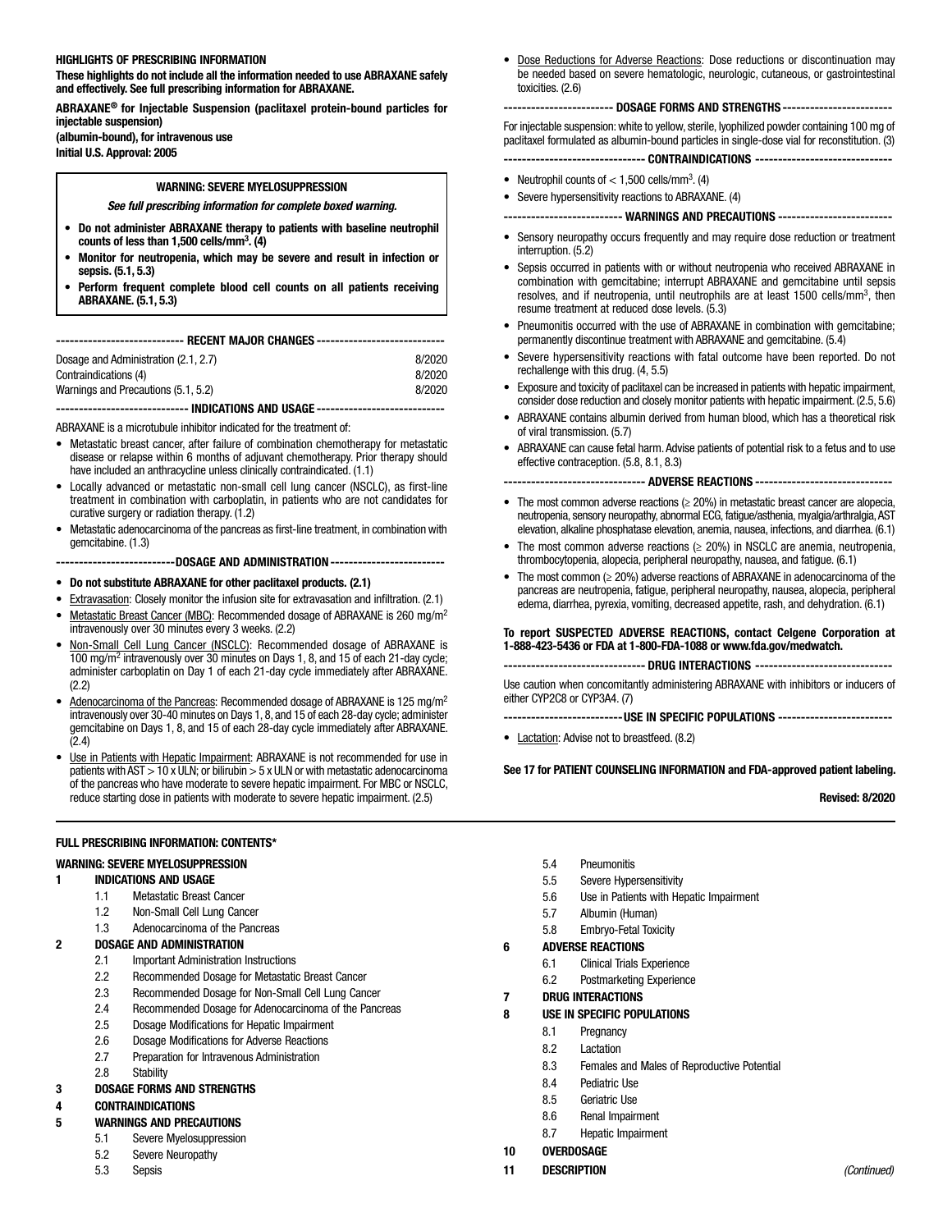## HIGHLIGHTS OF PRESCRIBING INFORMATION

These highlights do not include all the information needed to use ABRAXANE safely and effectively. See full prescribing information for ABRAXANE.

ABRAXANE® for Injectable Suspension (paclitaxel protein-bound particles for injectable suspension) (albumin-bound), for intravenous use Initial U.S. Approval: 2005

# WARNING: SEVERE MYELOSUPPRESSION

## *See full prescribing information for complete boxed warning.*

- Do not administer ABRAXANE therapy to patients with baseline neutrophil counts of less than 1,500 cells/mm<sup>3</sup>.  $\left(4\right)$
- Monitor for neutropenia, which may be severe and result in infection or sepsis. (5.1, 5.3)
- Perform frequent complete blood cell counts on all patients receiving ABRAXANE. (5.1, 5.3)

| -------------------------- RECENT MAJOR CHANGES ----------------------------      |        |  |  |
|-----------------------------------------------------------------------------------|--------|--|--|
| Dosage and Administration (2.1, 2.7)                                              | 8/2020 |  |  |
| Contraindications (4)                                                             | 8/2020 |  |  |
| Warnings and Precautions (5.1, 5.2)                                               | 8/2020 |  |  |
| ------------------------------ INDICATIONS AND IISAGF --------------------------- |        |  |  |

ABRAXANE is a microtubule inhibitor indicated for the treatment of:

- Metastatic breast cancer, after failure of combination chemotherapy for metastatic disease or relapse within 6 months of adjuvant chemotherapy. Prior therapy should have included an anthracycline unless clinically contraindicated. (1.1)
- Locally advanced or metastatic non-small cell lung cancer (NSCLC), as first-line treatment in combination with carboplatin, in patients who are not candidates for curative surgery or radiation therapy. (1.2)
- Metastatic adenocarcinoma of the pancreas as first-line treatment, in combination with gemcitabine. (1.3)
	- --------------------------DOSAGE AND ADMINISTRATION-------------------------
- Do not substitute ABRAXANE for other paclitaxel products. (2.1)
- **Extravasation: Closely monitor the infusion site for extravasation and infiltration.** (2.1)
- Metastatic Breast Cancer (MBC): Recommended dosage of ABRAXANE is 260 mg/m<sup>2</sup> intravenously over 30 minutes every 3 weeks. (2.2)
- Non-Small Cell Lung Cancer (NSCLC): Recommended dosage of ABRAXANE is 100 mg/m2 intravenously over 30 minutes on Days 1, 8, and 15 of each 21-day cycle; administer carboplatin on Day 1 of each 21-day cycle immediately after ABRAXANE. (2.2)
- Adenocarcinoma of the Pancreas: Recommended dosage of ABRAXANE is 125 mg/m2 intravenously over 30-40 minutes on Days 1, 8, and 15 of each 28-day cycle; administer gemcitabine on Days 1, 8, and 15 of each 28-day cycle immediately after ABRAXANE. (2.4)
- Use in Patients with Hepatic Impairment: ABRAXANE is not recommended for use in patients with  $AST > 10$  x ULN; or bilirubin  $> 5$  x ULN or with metastatic adenocarcinoma of the pancreas who have moderate to severe hepatic impairment. For MBC or NSCLC, reduce starting dose in patients with moderate to severe hepatic impairment. (2.5)

Dose Reductions for Adverse Reactions: Dose reductions or discontinuation may be needed based on severe hematologic, neurologic, cutaneous, or gastrointestinal toxicities. (2.6)

#### ------------------------ DOSAGE FORMS AND STRENGTHS ------------------------

For injectable suspension: white to yellow, sterile, lyophilized powder containing 100 mg of paclitaxel formulated as albumin-bound particles in single-dose vial for reconstitution. (3)

------------------------------- CONTRAINDICATIONS ------------------------------

- Neutrophil counts of  $<$  1,500 cells/mm<sup>3</sup>. (4)
- Severe hypersensitivity reactions to ABRAXANE. (4)

-------------------------- WARNINGS AND PRECAUTIONS -------------------------

- Sensory neuropathy occurs frequently and may require dose reduction or treatment interruption. (5.2)
- Sepsis occurred in patients with or without neutropenia who received ABRAXANE in combination with gemcitabine; interrupt ABRAXANE and gemcitabine until sepsis resolves, and if neutropenia, until neutrophils are at least 1500 cells/mm3, then resume treatment at reduced dose levels. (5.3)
- Pneumonitis occurred with the use of ABRAXANE in combination with gemcitabine; permanently discontinue treatment with ABRAXANE and gemcitabine. (5.4)
- Severe hypersensitivity reactions with fatal outcome have been reported. Do not rechallenge with this drug. (4, 5.5)
- Exposure and toxicity of paclitaxel can be increased in patients with hepatic impairment, consider dose reduction and closely monitor patients with hepatic impairment. (2.5, 5.6)
- ABRAXANE contains albumin derived from human blood, which has a theoretical risk of viral transmission. (5.7)
- ABRAXANE can cause fetal harm. Advise patients of potential risk to a fetus and to use effective contraception. (5.8, 8.1, 8.3)

------------------------------- ADVERSE REACTIONS ------------------------------

- The most common adverse reactions (≥ 20%) in metastatic breast cancer are alopecia, neutropenia, sensory neuropathy, abnormal ECG, fatigue/asthenia, myalgia/arthralgia, AST elevation, alkaline phosphatase elevation, anemia, nausea, infections, and diarrhea. (6.1)
- The most common adverse reactions  $(≥ 20%)$  in NSCLC are anemia, neutropenia, thrombocytopenia, alopecia, peripheral neuropathy, nausea, and fatigue. (6.1)
- The most common (≥ 20%) adverse reactions of ABRAXANE in adenocarcinoma of the pancreas are neutropenia, fatigue, peripheral neuropathy, nausea, alopecia, peripheral edema, diarrhea, pyrexia, vomiting, decreased appetite, rash, and dehydration. (6.1)

## To report SUSPECTED ADVERSE REACTIONS, contact Celgene Corporation at 1-888-423-5436 or FDA at 1-800-FDA-1088 or www.fda.gov/medwatch.

#### ------------------------------- DRUG INTERACTIONS ------------------------------

Use caution when concomitantly administering ABRAXANE with inhibitors or inducers of either CYP2C8 or CYP3A4. (7)

--------------------------USE IN SPECIFIC POPULATIONS -------------------------

• Lactation: Advise not to breastfeed. (8.2)

See 17 for PATIENT COUNSELING INFORMATION and FDA-approved patient labeling.

Revised: 8/2020

#### FULL PRESCRIBING INFORMATION: CONTENTS\*

## WARNING: SEVERE MYELOSUPPRESSION

- 1 INDICATIONS AND USAGE
	- 1.1 Metastatic Breast Cancer
	- 1.2 Non-Small Cell Lung Cancer
	- 1.3 Adenocarcinoma of the Pancreas

#### 2 DOSAGE AND ADMINISTRATION

- 2.1 Important Administration Instructions
- 2.2 Recommended Dosage for Metastatic Breast Cancer
- 2.3 Recommended Dosage for Non-Small Cell Lung Cancer
- 2.4 Recommended Dosage for Adenocarcinoma of the Pancreas
- 2.5 Dosage Modifications for Hepatic Impairment
- 2.6 Dosage Modifications for Adverse Reactions
- 2.7 Preparation for Intravenous Administration
- 2.8 Stability

## 3 DOSAGE FORMS AND STRENGTHS

#### 4 CONTRAINDICATIONS

- 5 WARNINGS AND PRECAUTIONS
	- 5.1 Severe Myelosuppression
	- 5.2 Severe Neuropathy
	- 5.3 Sepsis
- 5.4 Pneumonitis
- 5.5 Severe Hypersensitivity
- 5.6 Use in Patients with Hepatic Impairment
- 5.7 Albumin (Human)
- 5.8 Embryo-Fetal Toxicity

## 6 ADVERSE REACTIONS

- 6.1 Clinical Trials Experience
- 6.2 Postmarketing Experience
- 7 DRUG INTERACTIONS

## 8 USE IN SPECIFIC POPULATIONS

- 8.1 Pregnancy
- 8.2 Lactation
- 8.3 Females and Males of Reproductive Potential
- 8.4 Pediatric Use
- 8.5 Geriatric Use
- 8.6 Renal Impairment
- 8.7 Hepatic Impairment

## 10 OVERDOSAGE

11 DESCRIPTION *(Continued)*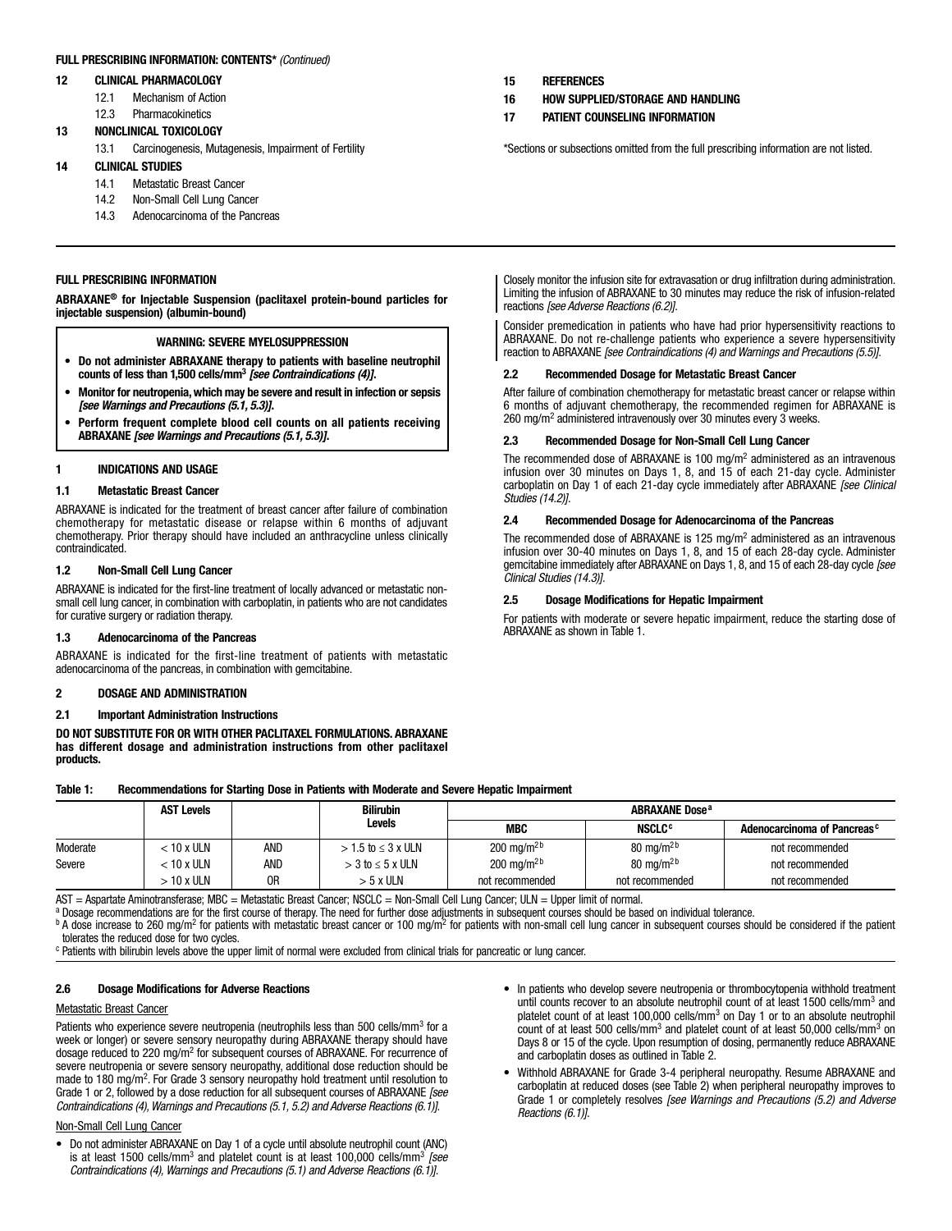## FULL PRESCRIBING INFORMATION: CONTENTS\* *(Continued)*

### 12 CLINICAL PHARMACOLOGY

- 12.1 Mechanism of Action
- 12.3 Pharmacokinetics

## 13 NONCLINICAL TOXICOLOGY

13.1 Carcinogenesis, Mutagenesis, Impairment of Fertility

## 14 CLINICAL STUDIES

- 14.1 Metastatic Breast Cancer
- 14.2 Non-Small Cell Lung Cancer
- 14.3 Adenocarcinoma of the Pancreas

## FULL PRESCRIBING INFORMATION

ABRAXANE® for Injectable Suspension (paclitaxel protein-bound particles for injectable suspension) (albumin-bound)

## WARNING: SEVERE MYELOSUPPRESSION

- Do not administer ABRAXANE therapy to patients with baseline neutrophil counts of less than 1,500 cells/mm3 *[see Contraindications (4)]*.
- Monitor for neutropenia, which may be severe and result in infection or sepsis *[see Warnings and Precautions (5.1, 5.3)]*.
- Perform frequent complete blood cell counts on all patients receiving ABRAXANE *[see Warnings and Precautions (5.1, 5.3)]*.

### 1 INDICATIONS AND USAGE

### 1.1 Metastatic Breast Cancer

ABRAXANE is indicated for the treatment of breast cancer after failure of combination chemotherapy for metastatic disease or relapse within 6 months of adjuvant chemotherapy. Prior therapy should have included an anthracycline unless clinically contraindicated.

## 1.2 Non-Small Cell Lung Cancer

ABRAXANE is indicated for the first-line treatment of locally advanced or metastatic nonsmall cell lung cancer, in combination with carboplatin, in patients who are not candidates for curative surgery or radiation therapy.

#### 1.3 Adenocarcinoma of the Pancreas

ABRAXANE is indicated for the first-line treatment of patients with metastatic adenocarcinoma of the pancreas, in combination with gemcitabine.

## 2 DOSAGE AND ADMINISTRATION

### 2.1 Important Administration Instructions

DO NOT SUBSTITUTE FOR OR WITH OTHER PACLITAXEL FORMULATIONS. ABRAXANE has different dosage and administration instructions from other paclitaxel products.

- 15 REFERENCES
- 16 HOW SUPPLIED/STORAGE AND HANDLING
- 17 PATIENT COUNSELING INFORMATION

\*Sections or subsections omitted from the full prescribing information are not listed.

Closely monitor the infusion site for extravasation or drug infiltration during administration. Limiting the infusion of ABRAXANE to 30 minutes may reduce the risk of infusion-related reactions *[see Adverse Reactions (6.2)]*.

Consider premedication in patients who have had prior hypersensitivity reactions to ABRAXANE. Do not re-challenge patients who experience a severe hypersensitivity reaction to ABRAXANE *[see Contraindications (4) and Warnings and Precautions (5.5)]*.

## 2.2 Recommended Dosage for Metastatic Breast Cancer

After failure of combination chemotherapy for metastatic breast cancer or relapse within 6 months of adjuvant chemotherapy, the recommended regimen for ABRAXANE is 260 mg/m<sup>2</sup> administered intravenously over 30 minutes every 3 weeks.

### 2.3 Recommended Dosage for Non-Small Cell Lung Cancer

The recommended dose of ABRAXANE is 100 mg/m<sup>2</sup> administered as an intravenous infusion over 30 minutes on Days 1, 8, and 15 of each 21-day cycle. Administer carboplatin on Day 1 of each 21-day cycle immediately after ABRAXANE *[see Clinical Studies (14.2)]*.

## 2.4 Recommended Dosage for Adenocarcinoma of the Pancreas

The recommended dose of ABRAXANE is 125 mg/m<sup>2</sup> administered as an intravenous infusion over 30-40 minutes on Days 1, 8, and 15 of each 28-day cycle. Administer gemcitabine immediately after ABRAXANE on Days 1, 8, and 15 of each 28-day cycle *[see Clinical Studies (14.3)]*.

### 2.5 Dosage Modifications for Hepatic Impairment

For patients with moderate or severe hepatic impairment, reduce the starting dose of ABRAXANE as shown in Table 1.

#### Table 1: Recommendations for Starting Dose in Patients with Moderate and Severe Hepatic Impairment

|          | <b>AST Levels</b> |     | <b>Bilirubin</b>          | <b>ABRAXANE Dose<sup>a</sup></b> |                          |                                         |  |
|----------|-------------------|-----|---------------------------|----------------------------------|--------------------------|-----------------------------------------|--|
|          |                   |     | <b>Levels</b>             | MBC                              | <b>NSCLC<sup>c</sup></b> | Adenocarcinoma of Pancreas <sup>c</sup> |  |
| Moderate | < 10 x ULN        | and | $> 1.5$ to $\leq 3$ x ULN | 200 mg/m <sup>2b</sup>           | 80 mg/m <sup>2b</sup>    | not recommended                         |  |
| Severe   | < 10 x ULN        | and | $>$ 3 to $\leq$ 5 x ULN   | 200 mg/m <sup>2b</sup>           | 80 mg/m <sup>2b</sup>    | not recommended                         |  |
|          | > 10 x ULN        | 0R  | > 5 x ULN                 | not recommended                  | not recommended          | not recommended                         |  |

AST = Aspartate Aminotransferase; MBC = Metastatic Breast Cancer; NSCLC = Non-Small Cell Lung Cancer; ULN = Upper limit of normal.

a Dosage recommendations are for the first course of therapy. The need for further dose adjustments in subsequent courses should be based on individual tolerance.

 $^{\text{b}}$  A dose increase to 260 mg/m<sup>2</sup> for patients with metastatic breast cancer or 100 mg/m<sup>2</sup> for patients with non-small cell lung cancer in subsequent courses should be considered if the patient tolerates the reduced dose for two cycles.

<sup>c</sup> Patients with bilirubin levels above the upper limit of normal were excluded from clinical trials for pancreatic or lung cancer.

### 2.6 Dosage Modifications for Adverse Reactions

#### Metastatic Breast Cancer

Patients who experience severe neutropenia (neutrophils less than 500 cells/mm<sup>3</sup> for a week or longer) or severe sensory neuropathy during ABRAXANE therapy should have dosage reduced to 220 mg/m<sup>2</sup> for subsequent courses of ABRAXANE. For recurrence of severe neutropenia or severe sensory neuropathy, additional dose reduction should be made to 180 mg/m<sup>2</sup>. For Grade 3 sensory neuropathy hold treatment until resolution to Grade 1 or 2, followed by a dose reduction for all subsequent courses of ABRAXANE *[see Contraindications (4), Warnings and Precautions (5.1, 5.2) and Adverse Reactions (6.1)]*.

## Non-Small Cell Lung Cancer

- Do not administer ABRAXANE on Day 1 of a cycle until absolute neutrophil count (ANC) is at least 1500 cells/mm<sup>3</sup> and platelet count is at least 100,000 cells/mm<sup>3</sup> *[see Contraindications (4), Warnings and Precautions (5.1) and Adverse Reactions (6.1)]*.
- In patients who develop severe neutropenia or thrombocytopenia withhold treatment until counts recover to an absolute neutrophil count of at least 1500 cells/mm<sup>3</sup> and platelet count of at least 100,000 cells/mm<sup>3</sup> on Day 1 or to an absolute neutrophil count of at least 500 cells/mm<sup>3</sup> and platelet count of at least 50,000 cells/mm<sup>3</sup> on Days 8 or 15 of the cycle. Upon resumption of dosing, permanently reduce ABRAXANE and carboplatin doses as outlined in Table 2.
- Withhold ABRAXANE for Grade 3-4 peripheral neuropathy. Resume ABRAXANE and carboplatin at reduced doses (see Table 2) when peripheral neuropathy improves to Grade 1 or completely resolves *[see Warnings and Precautions (5.2) and Adverse Reactions (6.1)]*.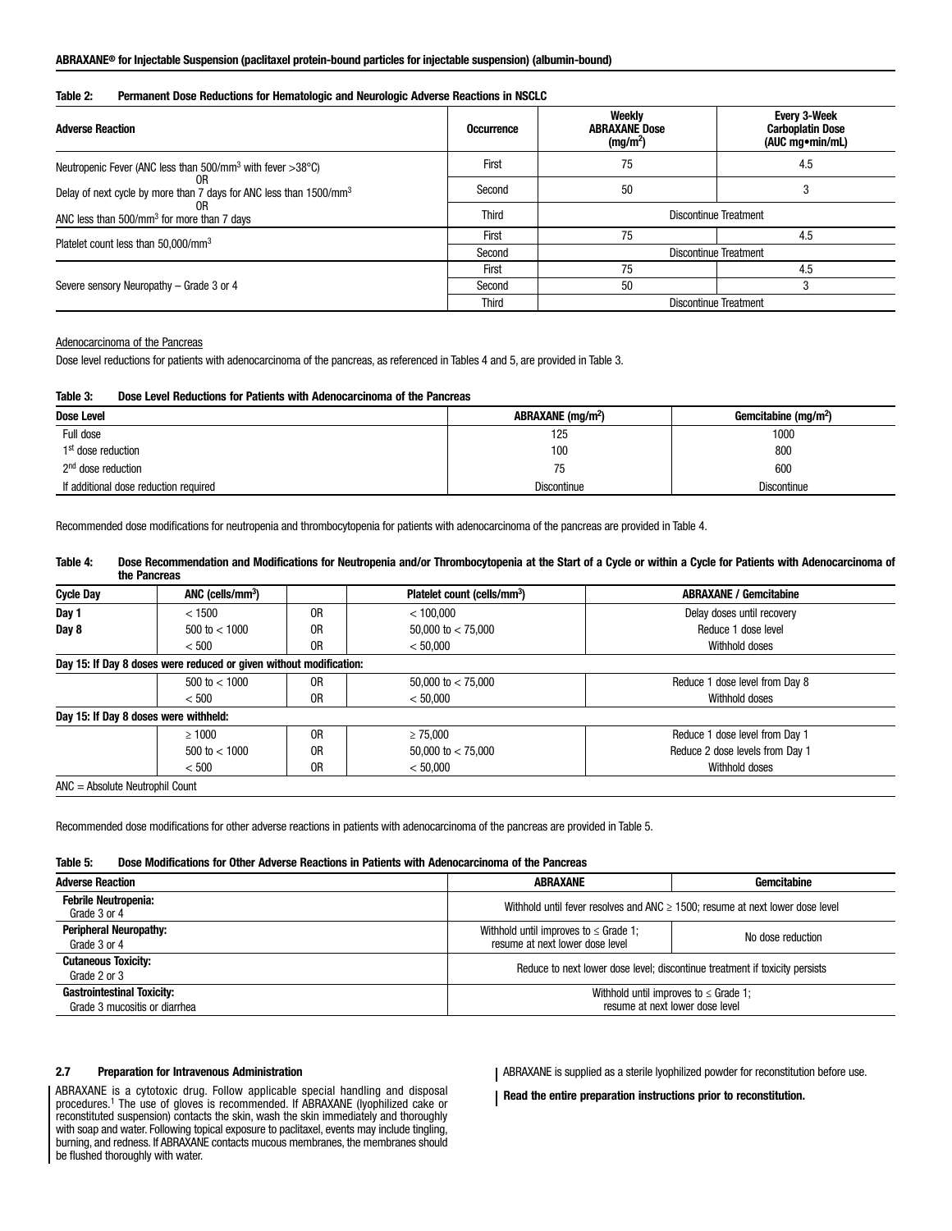## ABRAXANE® for Injectable Suspension (paclitaxel protein-bound particles for injectable suspension) (albumin-bound)

## Table 2: Permanent Dose Reductions for Hematologic and Neurologic Adverse Reactions in NSCLC

| <b>Adverse Reaction</b>                                                        | <b>Occurrence</b> | Weekly<br><b>ABRAXANE Dose</b><br>(mg/m <sup>2</sup> ) | <b>Every 3-Week</b><br><b>Carboplatin Dose</b><br>(AUC mg • min/mL) |
|--------------------------------------------------------------------------------|-------------------|--------------------------------------------------------|---------------------------------------------------------------------|
| Neutropenic Fever (ANC less than $500/\text{mm}^3$ with fever $>38^{\circ}$ C) | First             | 75                                                     | 4.5                                                                 |
| Delay of next cycle by more than 7 days for ANC less than 1500/mm <sup>3</sup> | Second            | 50                                                     |                                                                     |
| ANC less than 500/mm <sup>3</sup> for more than 7 days                         | <b>Third</b>      | Discontinue Treatment                                  |                                                                     |
|                                                                                | First             | 75                                                     | 4.5                                                                 |
| Platelet count less than 50,000/mm <sup>3</sup>                                | Second            | <b>Discontinue Treatment</b>                           |                                                                     |
|                                                                                | First             | 75                                                     | 4.5                                                                 |
| Severe sensory Neuropathy – Grade 3 or 4                                       | Second            | 50                                                     |                                                                     |
|                                                                                | <b>Third</b>      |                                                        | Discontinue Treatment                                               |

Adenocarcinoma of the Pancreas

Dose level reductions for patients with adenocarcinoma of the pancreas, as referenced in Tables 4 and 5, are provided in Table 3.

#### Table 3: Dose Level Reductions for Patients with Adenocarcinoma of the Pancreas

| Dose Level                            | ABRAXANE (mg/m <sup>2</sup> ) | Gemcitabine (mg/m <sup>2</sup> ) |  |
|---------------------------------------|-------------------------------|----------------------------------|--|
| Full dose                             | 125                           | 1000                             |  |
| 1 <sup>st</sup> dose reduction        | 100                           | 800                              |  |
| 2 <sup>nd</sup> dose reduction        | 75                            | 600                              |  |
| If additional dose reduction required | <b>Discontinue</b>            | <b>Discontinue</b>               |  |

Recommended dose modifications for neutropenia and thrombocytopenia for patients with adenocarcinoma of the pancreas are provided in Table 4.

## Table 4: Dose Recommendation and Modifications for Neutropenia and/or Thrombocytopenia at the Start of a Cycle or within a Cycle for Patients with Adenocarcinoma of the Pancreas

| < 100.000                        | Delay doses until recovery                                         |
|----------------------------------|--------------------------------------------------------------------|
|                                  |                                                                    |
| 50,000 to $<$ 75,000             | Reduce 1 dose level                                                |
| < 50,000                         | Withhold doses                                                     |
|                                  |                                                                    |
| 50,000 to $<$ 75,000             | Reduce 1 dose level from Day 8                                     |
| < 50,000                         | Withhold doses                                                     |
|                                  |                                                                    |
| $\geq 75.000$                    | Reduce 1 dose level from Day 1                                     |
| 50,000 to $<$ 75,000             | Reduce 2 dose levels from Day 1                                    |
| < 50,000                         | Withhold doses                                                     |
| 0R<br>0R<br>0R<br>0R<br>0R<br>0R | Day 15: If Day 8 doses were reduced or given without modification: |

ANC = Absolute Neutrophil Count

Recommended dose modifications for other adverse reactions in patients with adenocarcinoma of the pancreas are provided in Table 5.

## Table 5: Dose Modifications for Other Adverse Reactions in Patients with Adenocarcinoma of the Pancreas

| <b>Adverse Reaction</b>                                            | Gemcitabine<br>ABRAXANE                                                                            |  |  |
|--------------------------------------------------------------------|----------------------------------------------------------------------------------------------------|--|--|
| <b>Febrile Neutropenia:</b><br>Grade 3 or 4                        | Withhold until fever resolves and ANC $\geq$ 1500; resume at next lower dose level                 |  |  |
| <b>Peripheral Neuropathy:</b><br>Grade 3 or 4                      | Withhold until improves to $\leq$ Grade 1;<br>No dose reduction<br>resume at next lower dose level |  |  |
| <b>Cutaneous Toxicity:</b><br>Grade 2 or 3                         | Reduce to next lower dose level; discontinue treatment if toxicity persists                        |  |  |
| <b>Gastrointestinal Toxicity:</b><br>Grade 3 mucositis or diarrhea | Withhold until improves to $\leq$ Grade 1;<br>resume at next lower dose level                      |  |  |

### 2.7 Preparation for Intravenous Administration

ABRAXANE is a cytotoxic drug. Follow applicable special handling and disposal procedures.1 The use of gloves is recommended. If ABRAXANE (lyophilized cake or reconstituted suspension) contacts the skin, wash the skin immediately and thoroughly with soap and water. Following topical exposure to paclitaxel, events may include tingling, burning, and redness. If ABRAXANE contacts mucous membranes, the membranes should be flushed thoroughly with water.

ABRAXANE is supplied as a sterile lyophilized powder for reconstitution before use.

Read the entire preparation instructions prior to reconstitution.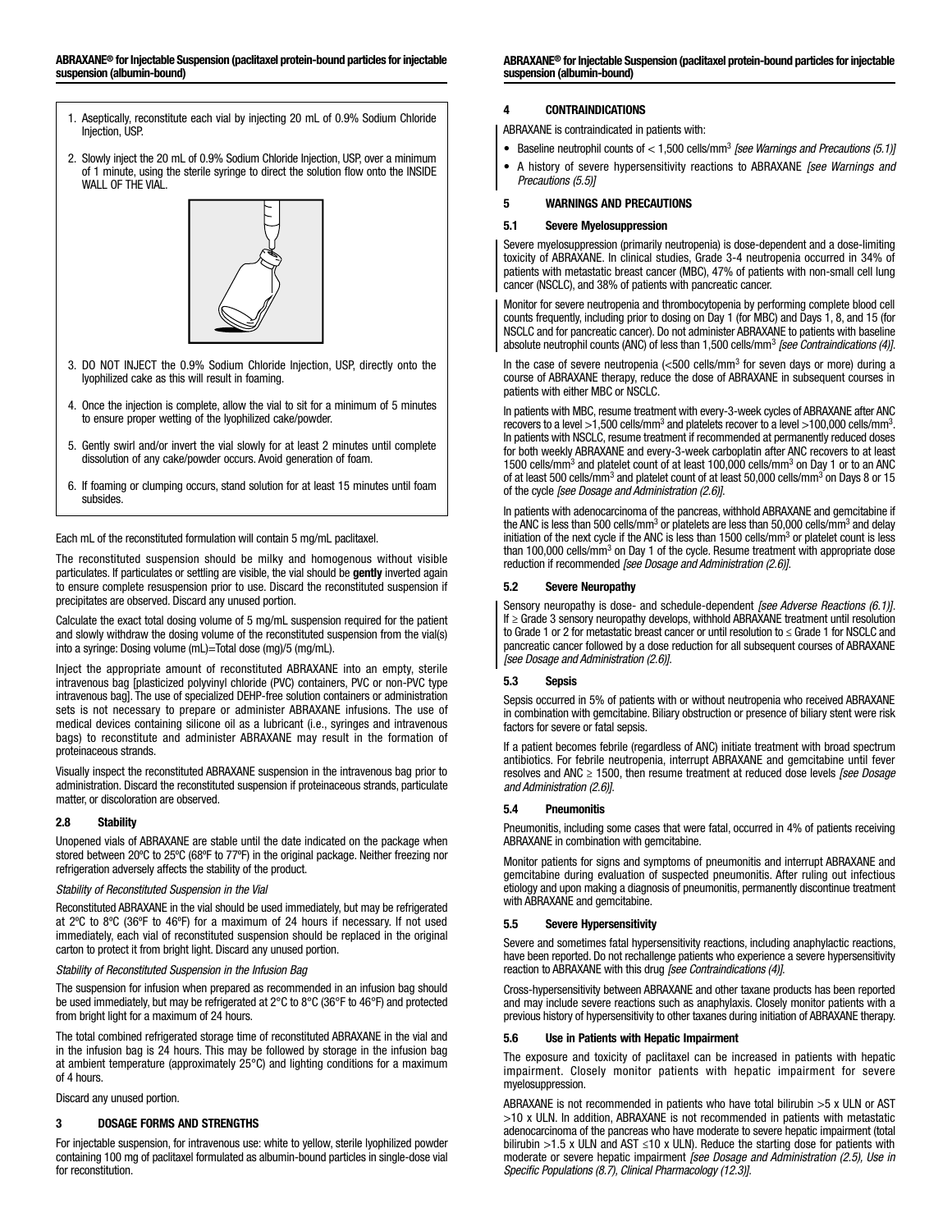- 1. Aseptically, reconstitute each vial by injecting 20 mL of 0.9% Sodium Chloride Injection, USP.
- 2. Slowly inject the 20 mL of 0.9% Sodium Chloride Injection, USP, over a minimum of 1 minute, using the sterile syringe to direct the solution flow onto the INSIDE WALL OF THE VIAL.



- 3. DO NOT INJECT the 0.9% Sodium Chloride Injection, USP, directly onto the lyophilized cake as this will result in foaming.
- 4. Once the injection is complete, allow the vial to sit for a minimum of 5 minutes to ensure proper wetting of the lyophilized cake/powder.
- 5. Gently swirl and/or invert the vial slowly for at least 2 minutes until complete dissolution of any cake/powder occurs. Avoid generation of foam.
- 6. If foaming or clumping occurs, stand solution for at least 15 minutes until foam subsides.

Each mL of the reconstituted formulation will contain 5 mg/mL paclitaxel.

The reconstituted suspension should be milky and homogenous without visible particulates. If particulates or settling are visible, the vial should be gently inverted again to ensure complete resuspension prior to use. Discard the reconstituted suspension if precipitates are observed. Discard any unused portion.

Calculate the exact total dosing volume of 5 mg/mL suspension required for the patient and slowly withdraw the dosing volume of the reconstituted suspension from the vial(s) into a syringe: Dosing volume (mL)=Total dose (mg)/5 (mg/mL).

Inject the appropriate amount of reconstituted ABRAXANE into an empty, sterile intravenous bag [plasticized polyvinyl chloride (PVC) containers, PVC or non-PVC type intravenous bag]. The use of specialized DEHP-free solution containers or administration sets is not necessary to prepare or administer ABRAXANE infusions. The use of medical devices containing silicone oil as a lubricant (i.e., syringes and intravenous bags) to reconstitute and administer ABRAXANE may result in the formation of proteinaceous strands.

Visually inspect the reconstituted ABRAXANE suspension in the intravenous bag prior to administration. Discard the reconstituted suspension if proteinaceous strands, particulate matter, or discoloration are observed.

## 2.8 Stability

Unopened vials of ABRAXANE are stable until the date indicated on the package when stored between 20ºC to 25ºC (68ºF to 77ºF) in the original package. Neither freezing nor refrigeration adversely affects the stability of the product.

## *Stability of Reconstituted Suspension in the Vial*

Reconstituted ABRAXANE in the vial should be used immediately, but may be refrigerated at 2ºC to 8ºC (36ºF to 46ºF) for a maximum of 24 hours if necessary. If not used immediately, each vial of reconstituted suspension should be replaced in the original carton to protect it from bright light. Discard any unused portion.

## *Stability of Reconstituted Suspension in the Infusion Bag*

The suspension for infusion when prepared as recommended in an infusion bag should be used immediately, but may be refrigerated at 2°C to 8°C (36°F to 46°F) and protected from bright light for a maximum of 24 hours.

The total combined refrigerated storage time of reconstituted ABRAXANE in the vial and in the infusion bag is 24 hours. This may be followed by storage in the infusion bag at ambient temperature (approximately 25°C) and lighting conditions for a maximum of 4 hours.

Discard any unused portion.

## 3 DOSAGE FORMS AND STRENGTHS

For injectable suspension, for intravenous use: white to yellow, sterile lyophilized powder containing 100 mg of paclitaxel formulated as albumin-bound particles in single-dose vial for reconstitution.

ABRAXANE® for Injectable Suspension (paclitaxel protein-bound particles for injectable suspension (albumin-bound)

## 4 CONTRAINDICATIONS

ABRAXANE is contraindicated in patients with:

- Baseline neutrophil counts of < 1,500 cells/mm3 *[see Warnings and Precautions (5.1)]*
- A history of severe hypersensitivity reactions to ABRAXANE *[see Warnings and Precautions (5.5)]*

## 5 WARNINGS AND PRECAUTIONS

## 5.1 Severe Myelosuppression

Severe myelosuppression (primarily neutropenia) is dose-dependent and a dose-limiting toxicity of ABRAXANE. In clinical studies, Grade 3-4 neutropenia occurred in 34% of patients with metastatic breast cancer (MBC), 47% of patients with non-small cell lung cancer (NSCLC), and 38% of patients with pancreatic cancer.

Monitor for severe neutropenia and thrombocytopenia by performing complete blood cell counts frequently, including prior to dosing on Day 1 (for MBC) and Days 1, 8, and 15 (for NSCLC and for pancreatic cancer). Do not administer ABRAXANE to patients with baseline absolute neutrophil counts (ANC) of less than 1,500 cells/mm<sup>3</sup> *[see Contraindications (4)]*.

In the case of severe neutropenia  $\left(<500$  cells/mm<sup>3</sup> for seven days or more) during a course of ABRAXANE therapy, reduce the dose of ABRAXANE in subsequent courses in patients with either MBC or NSCLC.

In patients with MBC, resume treatment with every-3-week cycles of ABRAXANE after ANC recovers to a level >1,500 cells/mm<sup>3</sup> and platelets recover to a level >100,000 cells/mm<sup>3</sup>. In patients with NSCLC, resume treatment if recommended at permanently reduced doses for both weekly ABRAXANE and every-3-week carboplatin after ANC recovers to at least 1500 cells/mm<sup>3</sup> and platelet count of at least 100,000 cells/mm<sup>3</sup> on Day 1 or to an ANC of at least 500 cells/mm<sup>3</sup> and platelet count of at least 50,000 cells/mm<sup>3</sup> on Days 8 or 15 of the cycle *[see Dosage and Administration (2.6)]*.

In patients with adenocarcinoma of the pancreas, withhold ABRAXANE and gemcitabine if the ANC is less than 500 cells/mm<sup>3</sup> or platelets are less than 50,000 cells/mm<sup>3</sup> and delay initiation of the next cycle if the ANC is less than 1500 cells/mm<sup>3</sup> or platelet count is less than 100,000 cells/mm<sup>3</sup> on Day 1 of the cycle. Resume treatment with appropriate dose reduction if recommended *[see Dosage and Administration (2.6)]*.

## 5.2 Severe Neuropathy

Sensory neuropathy is dose- and schedule-dependent *[see Adverse Reactions (6.1)]*. If ≥ Grade 3 sensory neuropathy develops, withhold ABRAXANE treatment until resolution to Grade 1 or 2 for metastatic breast cancer or until resolution to ≤ Grade 1 for NSCLC and pancreatic cancer followed by a dose reduction for all subsequent courses of ABRAXANE *[see Dosage and Administration (2.6)]*.

## 5.3 Sepsis

Sepsis occurred in 5% of patients with or without neutropenia who received ABRAXANE in combination with gemcitabine. Biliary obstruction or presence of biliary stent were risk factors for severe or fatal sepsis.

If a patient becomes febrile (regardless of ANC) initiate treatment with broad spectrum antibiotics. For febrile neutropenia, interrupt ABRAXANE and gemcitabine until fever resolves and ANC ≥ 1500, then resume treatment at reduced dose levels *[see Dosage and Administration (2.6)]*.

## 5.4 Pneumonitis

Pneumonitis, including some cases that were fatal, occurred in 4% of patients receiving ABRAXANE in combination with gemcitabine.

Monitor patients for signs and symptoms of pneumonitis and interrupt ABRAXANE and gemcitabine during evaluation of suspected pneumonitis. After ruling out infectious etiology and upon making a diagnosis of pneumonitis, permanently discontinue treatment with ABRAXANE and gemcitabine.

## 5.5 Severe Hypersensitivity

Severe and sometimes fatal hypersensitivity reactions, including anaphylactic reactions, have been reported. Do not rechallenge patients who experience a severe hypersensitivity reaction to ABRAXANE with this drug *[see Contraindications (4)]*.

Cross-hypersensitivity between ABRAXANE and other taxane products has been reported and may include severe reactions such as anaphylaxis. Closely monitor patients with a previous history of hypersensitivity to other taxanes during initiation of ABRAXANE therapy.

## 5.6 Use in Patients with Hepatic Impairment

The exposure and toxicity of paclitaxel can be increased in patients with hepatic impairment. Closely monitor patients with hepatic impairment for severe myelosuppression.

ABRAXANE is not recommended in patients who have total bilirubin >5 x ULN or AST >10 x ULN. In addition, ABRAXANE is not recommended in patients with metastatic adenocarcinoma of the pancreas who have moderate to severe hepatic impairment (total bilirubin >1.5 x ULN and AST ≤10 x ULN). Reduce the starting dose for patients with moderate or severe hepatic impairment *[see Dosage and Administration (2.5), Use in Specific Populations (8.7), Clinical Pharmacology (12.3)]*.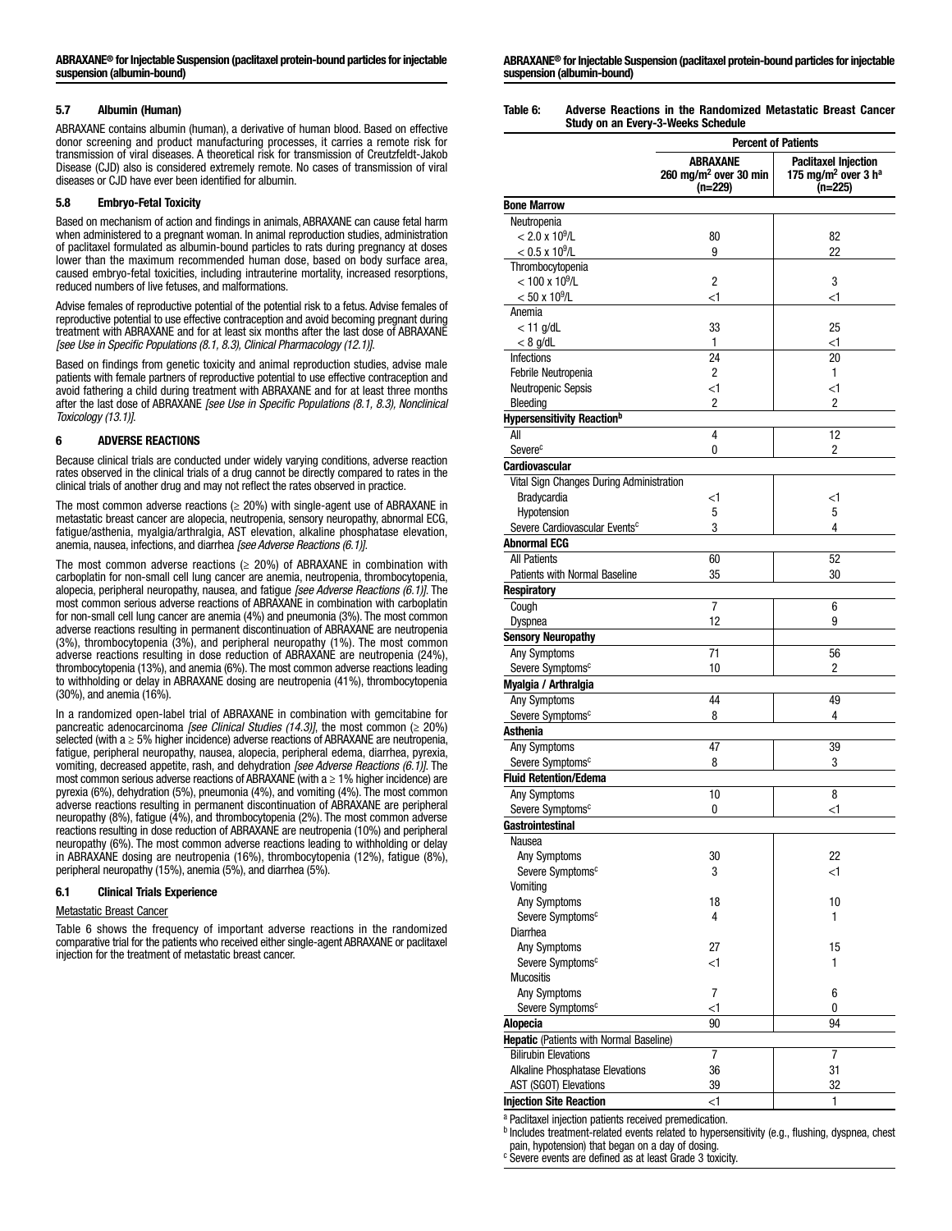## 5.7 Albumin (Human)

ABRAXANE contains albumin (human), a derivative of human blood. Based on effective donor screening and product manufacturing processes, it carries a remote risk for transmission of viral diseases. A theoretical risk for transmission of Creutzfeldt-Jakob Disease (CJD) also is considered extremely remote. No cases of transmission of viral diseases or CJD have ever been identified for albumin.

### 5.8 Embryo-Fetal Toxicity

Based on mechanism of action and findings in animals, ABRAXANE can cause fetal harm when administered to a pregnant woman. In animal reproduction studies, administration of paclitaxel formulated as albumin-bound particles to rats during pregnancy at doses lower than the maximum recommended human dose, based on body surface area, caused embryo-fetal toxicities, including intrauterine mortality, increased resorptions, reduced numbers of live fetuses, and malformations.

Advise females of reproductive potential of the potential risk to a fetus. Advise females of reproductive potential to use effective contraception and avoid becoming pregnant during treatment with ABRAXANE and for at least six months after the last dose of ABRAXANE *[see Use in Specific Populations (8.1, 8.3), Clinical Pharmacology (12.1)]*.

Based on findings from genetic toxicity and animal reproduction studies, advise male patients with female partners of reproductive potential to use effective contraception and avoid fathering a child during treatment with ABRAXANE and for at least three months after the last dose of ABRAXANE *[see Use in Specific Populations (8.1, 8.3), Nonclinical Toxicology (13.1)]*.

## 6 ADVERSE REACTIONS

Because clinical trials are conducted under widely varying conditions, adverse reaction rates observed in the clinical trials of a drug cannot be directly compared to rates in the clinical trials of another drug and may not reflect the rates observed in practice.

The most common adverse reactions ( $\geq$  20%) with single-agent use of ABRAXANE in metastatic breast cancer are alopecia, neutropenia, sensory neuropathy, abnormal ECG, fatigue/asthenia, myalgia/arthralgia, AST elevation, alkaline phosphatase elevation, anemia, nausea, infections, and diarrhea *[see Adverse Reactions (6.1)]*.

The most common adverse reactions ( $\geq$  20%) of ABRAXANE in combination with carboplatin for non-small cell lung cancer are anemia, neutropenia, thrombocytopenia, alopecia, peripheral neuropathy, nausea, and fatigue *[see Adverse Reactions (6.1)]*. The most common serious adverse reactions of ABRAXANE in combination with carboplatin for non-small cell lung cancer are anemia (4%) and pneumonia (3%). The most common adverse reactions resulting in permanent discontinuation of ABRAXANE are neutropenia (3%), thrombocytopenia (3%), and peripheral neuropathy (1%). The most common adverse reactions resulting in dose reduction of ABRAXANE are neutropenia (24%), thrombocytopenia (13%), and anemia (6%). The most common adverse reactions leading to withholding or delay in ABRAXANE dosing are neutropenia (41%), thrombocytopenia (30%), and anemia (16%).

In a randomized open-label trial of ABRAXANE in combination with gemcitabine for pancreatic adenocarcinoma *[see Clinical Studies (14.3)]*, the most common ( $\geq$  20%) selected (with a ≥ 5% higher incidence) adverse reactions of ABRAXANE are neutropenia, fatigue, peripheral neuropathy, nausea, alopecia, peripheral edema, diarrhea, pyrexia, vomiting, decreased appetite, rash, and dehydration *[see Adverse Reactions (6.1)]*. The most common serious adverse reactions of ABRAXANE (with  $a \ge 1\%$  higher incidence) are pyrexia (6%), dehydration (5%), pneumonia (4%), and vomiting (4%). The most common adverse reactions resulting in permanent discontinuation of ABRAXANE are peripheral neuropathy (8%), fatigue (4%), and thrombocytopenia (2%). The most common adverse reactions resulting in dose reduction of ABRAXANE are neutropenia (10%) and peripheral neuropathy (6%). The most common adverse reactions leading to withholding or delay in ABRAXANE dosing are neutropenia (16%), thrombocytopenia (12%), fatigue (8%), peripheral neuropathy (15%), anemia (5%), and diarrhea (5%).

### 6.1 Clinical Trials Experience

## Metastatic Breast Cancer

Table 6 shows the frequency of important adverse reactions in the randomized comparative trial for the patients who received either single-agent ABRAXANE or paclitaxel injection for the treatment of metastatic breast cancer.

ABRAXANE® for Injectable Suspension (paclitaxel protein-bound particles for injectable suspension (albumin-bound)

Table 6: Adverse Reactions in the Randomized Metastatic Breast Cancer Study on an Every-3-Weeks Schedule

|                                           | <b>Percent of Patients</b>                               |                                                                                       |  |  |
|-------------------------------------------|----------------------------------------------------------|---------------------------------------------------------------------------------------|--|--|
|                                           | ABRAXANE<br>260 mg/m <sup>2</sup> over 30 min<br>(n=229) | <b>Paclitaxel Injection</b><br>175 mg/m <sup>2</sup> over 3 h <sup>a</sup><br>(n=225) |  |  |
| <b>Bone Marrow</b>                        |                                                          |                                                                                       |  |  |
| Neutropenia                               |                                                          |                                                                                       |  |  |
| $< 2.0 \times 10^9$ /L                    | 80                                                       | 82                                                                                    |  |  |
| $< 0.5 \times 10^9$ /L                    | 9                                                        | 22                                                                                    |  |  |
| Thrombocytopenia                          |                                                          |                                                                                       |  |  |
| $< 100 \times 10^9$ /L                    | 2                                                        | 3                                                                                     |  |  |
| $< 50 \times 10^9$ /L                     | <1                                                       | <1                                                                                    |  |  |
| Anemia                                    |                                                          |                                                                                       |  |  |
| $<$ 11 g/dL                               | 33                                                       | 25                                                                                    |  |  |
| $< 8$ g/dL                                | 1                                                        | <1                                                                                    |  |  |
| Infections                                | 24                                                       | 20                                                                                    |  |  |
| Febrile Neutropenia                       | 2                                                        | 1                                                                                     |  |  |
| Neutropenic Sepsis<br>Bleeding            | <1<br>2                                                  | <1<br>2                                                                               |  |  |
| <b>Hypersensitivity Reaction</b> b        |                                                          |                                                                                       |  |  |
| All                                       | 4                                                        | 12                                                                                    |  |  |
| Severe <sup>c</sup>                       | 0                                                        | 2                                                                                     |  |  |
| <b>Cardiovascular</b>                     |                                                          |                                                                                       |  |  |
| Vital Sign Changes During Administration  |                                                          |                                                                                       |  |  |
| <b>Bradycardia</b>                        | <1                                                       | <1                                                                                    |  |  |
| Hypotension                               | 5                                                        | 5                                                                                     |  |  |
| Severe Cardiovascular Events <sup>c</sup> | 3                                                        | 4                                                                                     |  |  |
| <b>Abnormal ECG</b>                       |                                                          |                                                                                       |  |  |
| All Patients                              | 60                                                       | 52                                                                                    |  |  |
| Patients with Normal Baseline             | 35                                                       | 30                                                                                    |  |  |
| <b>Respiratory</b>                        |                                                          |                                                                                       |  |  |
| Cough                                     | 7                                                        | 6                                                                                     |  |  |
| Dyspnea                                   | 12                                                       | 9                                                                                     |  |  |
| <b>Sensory Neuropathy</b>                 |                                                          |                                                                                       |  |  |
| Any Symptoms                              | 71                                                       | 56                                                                                    |  |  |
| Severe Symptoms <sup>c</sup>              | 10                                                       | 2                                                                                     |  |  |
| Myalgia / Arthralgia                      |                                                          |                                                                                       |  |  |
| Any Symptoms                              | 44                                                       | 49                                                                                    |  |  |
| Severe Symptoms <sup>c</sup>              | 8                                                        | 4                                                                                     |  |  |
| Asthenia                                  |                                                          |                                                                                       |  |  |
| Any Symptoms                              | 47                                                       | 39                                                                                    |  |  |
| Severe Symptoms <sup>c</sup>              | 8                                                        | 3                                                                                     |  |  |
| <b>Fluid Retention/Edema</b>              |                                                          |                                                                                       |  |  |
| Any Symptoms                              | 10                                                       | 8                                                                                     |  |  |
| Severe Symptoms <sup>c</sup>              | 0                                                        | <1                                                                                    |  |  |
| Gastrointestinal                          |                                                          |                                                                                       |  |  |
| Nausea                                    |                                                          |                                                                                       |  |  |
| Any Symptoms                              | 30                                                       | 22                                                                                    |  |  |
| Severe Symptoms <sup>c</sup>              | 3                                                        | <1                                                                                    |  |  |
| Vomiting                                  |                                                          |                                                                                       |  |  |
| Any Symptoms                              | 18                                                       | 10                                                                                    |  |  |
| Severe Symptoms <sup>c</sup>              | 4                                                        | 1                                                                                     |  |  |
| Diarrhea                                  |                                                          |                                                                                       |  |  |
| Any Symptoms                              | 27                                                       | 15                                                                                    |  |  |
| Severe Symptoms <sup>c</sup>              | <1                                                       | 1                                                                                     |  |  |
| <b>Mucositis</b>                          |                                                          |                                                                                       |  |  |
| Any Symptoms                              | 7                                                        | 6                                                                                     |  |  |
| Severe Symptoms <sup>c</sup>              | <1                                                       | 0                                                                                     |  |  |
| Alopecia                                  | 90                                                       | 94                                                                                    |  |  |
| Hepatic (Patients with Normal Baseline)   |                                                          |                                                                                       |  |  |
| <b>Bilirubin Elevations</b>               | $\overline{7}$                                           | $\overline{7}$                                                                        |  |  |
| Alkaline Phosphatase Elevations           | 36                                                       | 31                                                                                    |  |  |
| AST (SGOT) Elevations                     | 39                                                       | 32                                                                                    |  |  |
| <b>Injection Site Reaction</b>            | <1                                                       | 1                                                                                     |  |  |

<sup>a</sup> Paclitaxel injection patients received premedication.

b Includes treatment-related events related to hypersensitivity (e.g., flushing, dyspnea, chest pain, hypotension) that began on a day of dosing.

<sup>c</sup> Severe events are defined as at least Grade 3 toxicity.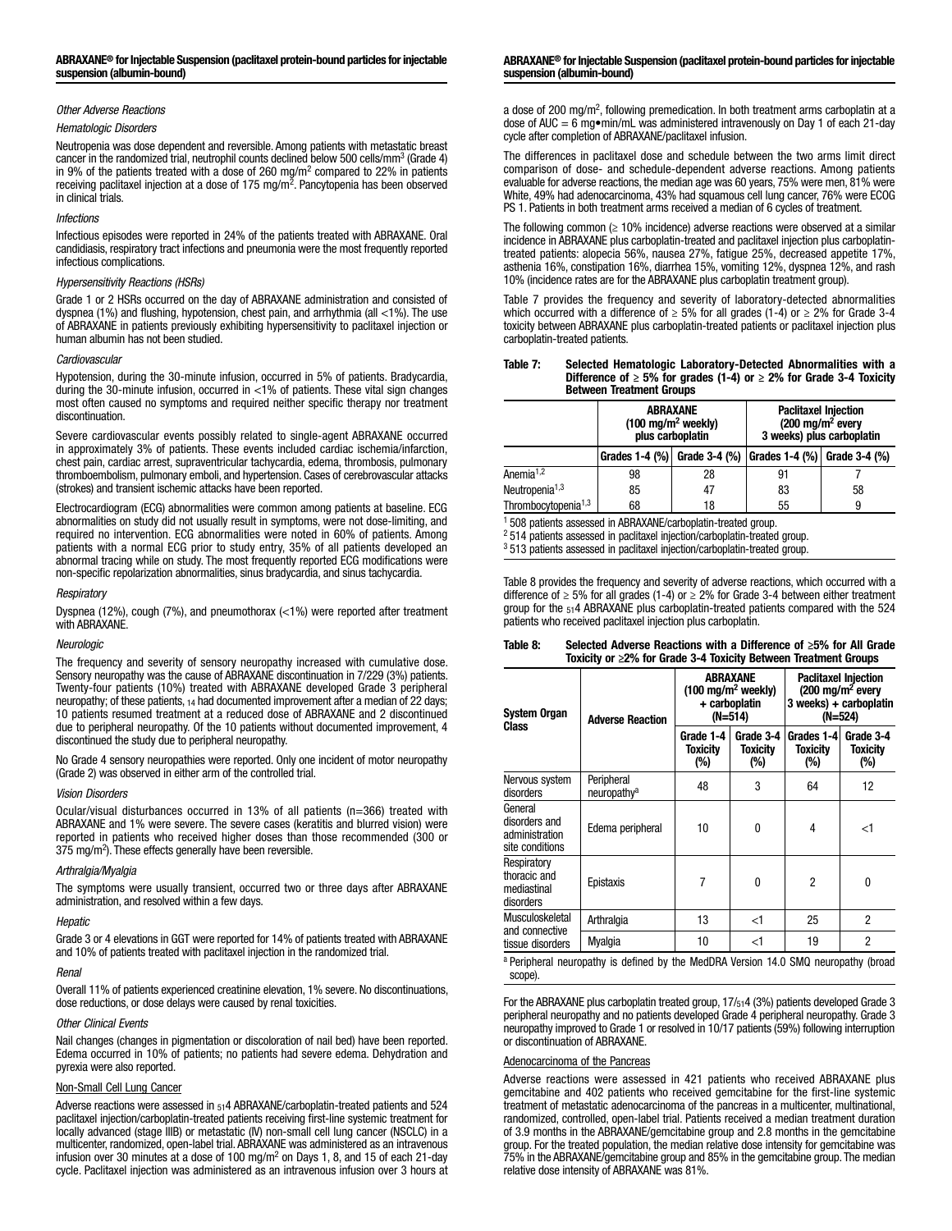## *Other Adverse Reactions*

#### *Hematologic Disorders*

Neutropenia was dose dependent and reversible. Among patients with metastatic breast cancer in the randomized trial, neutrophil counts declined below 500 cells/mm<sup>3</sup> (Grade 4) in 9% of the patients treated with a dose of 260 mg/m<sup>2</sup> compared to 22% in patients receiving paclitaxel injection at a dose of 175 mg/m<sup>2</sup>. Pancytopenia has been observed in clinical trials.

### *Infections*

Infectious episodes were reported in 24% of the patients treated with ABRAXANE. Oral candidiasis, respiratory tract infections and pneumonia were the most frequently reported infectious complications.

### *Hypersensitivity Reactions (HSRs)*

Grade 1 or 2 HSRs occurred on the day of ABRAXANE administration and consisted of dyspnea (1%) and flushing, hypotension, chest pain, and arrhythmia (all <1%). The use of ABRAXANE in patients previously exhibiting hypersensitivity to paclitaxel injection or human albumin has not been studied.

#### *Cardiovascular*

Hypotension, during the 30-minute infusion, occurred in 5% of patients. Bradycardia, during the 30-minute infusion, occurred in <1% of patients. These vital sign changes most often caused no symptoms and required neither specific therapy nor treatment discontinuation.

Severe cardiovascular events possibly related to single-agent ABRAXANE occurred in approximately 3% of patients. These events included cardiac ischemia/infarction, chest pain, cardiac arrest, supraventricular tachycardia, edema, thrombosis, pulmonary thromboembolism, pulmonary emboli, and hypertension. Cases of cerebrovascular attacks (strokes) and transient ischemic attacks have been reported.

Electrocardiogram (ECG) abnormalities were common among patients at baseline. ECG abnormalities on study did not usually result in symptoms, were not dose-limiting, and required no intervention. ECG abnormalities were noted in 60% of patients. Among patients with a normal ECG prior to study entry, 35% of all patients developed an abnormal tracing while on study. The most frequently reported ECG modifications were non-specific repolarization abnormalities, sinus bradycardia, and sinus tachycardia.

### *Respiratory*

Dyspnea (12%), cough (7%), and pneumothorax (<1%) were reported after treatment with ABRAXANE.

#### *Neurologic*

The frequency and severity of sensory neuropathy increased with cumulative dose. Sensory neuropathy was the cause of ABRAXANE discontinuation in 7/229 (3%) patients. Twenty-four patients (10%) treated with ABRAXANE developed Grade 3 peripheral neuropathy; of these patients, 14 had documented improvement after a median of 22 days; 10 patients resumed treatment at a reduced dose of ABRAXANE and 2 discontinued due to peripheral neuropathy. Of the 10 patients without documented improvement, 4 discontinued the study due to peripheral neuropathy.

No Grade 4 sensory neuropathies were reported. Only one incident of motor neuropathy (Grade 2) was observed in either arm of the controlled trial.

#### *Vision Disorders*

Ocular/visual disturbances occurred in 13% of all patients (n=366) treated with ABRAXANE and 1% were severe. The severe cases (keratitis and blurred vision) were reported in patients who received higher doses than those recommended (300 or 375 mg/m2 ). These effects generally have been reversible.

### *Arthralgia/Myalgia*

The symptoms were usually transient, occurred two or three days after ABRAXANE administration, and resolved within a few days.

#### *Hepatic*

Grade 3 or 4 elevations in GGT were reported for 14% of patients treated with ABRAXANE and 10% of patients treated with paclitaxel injection in the randomized trial.

## *Renal*

Overall 11% of patients experienced creatinine elevation, 1% severe. No discontinuations, dose reductions, or dose delays were caused by renal toxicities.

## *Other Clinical Events*

Nail changes (changes in pigmentation or discoloration of nail bed) have been reported. Edema occurred in 10% of patients; no patients had severe edema. Dehydration and pyrexia were also reported.

## Non-Small Cell Lung Cancer

Adverse reactions were assessed in 514 ABRAXANE/carboplatin-treated patients and 524 paclitaxel injection/carboplatin-treated patients receiving first-line systemic treatment for locally advanced (stage IIIB) or metastatic (IV) non-small cell lung cancer (NSCLC) in a multicenter, randomized, open-label trial. ABRAXANE was administered as an intravenous infusion over 30 minutes at a dose of 100 mg/m<sup>2</sup> on Days 1, 8, and 15 of each 21-day cycle. Paclitaxel injection was administered as an intravenous infusion over 3 hours at

#### ABRAXANE® for Injectable Suspension (paclitaxel protein-bound particles for injectable suspension (albumin-bound)

a dose of 200 mg/m<sup>2</sup>, following premedication. In both treatment arms carboplatin at a dose of AUC = 6 mg $\bullet$ min/mL was administered intravenously on Day 1 of each 21-day cycle after completion of ABRAXANE/paclitaxel infusion.

The differences in paclitaxel dose and schedule between the two arms limit direct comparison of dose- and schedule-dependent adverse reactions. Among patients evaluable for adverse reactions, the median age was 60 years, 75% were men, 81% were White, 49% had adenocarcinoma, 43% had squamous cell lung cancer, 76% were ECOG PS 1. Patients in both treatment arms received a median of 6 cycles of treatment.

The following common  $(≥ 10%$  incidence) adverse reactions were observed at a similar incidence in ABRAXANE plus carboplatin-treated and paclitaxel injection plus carboplatintreated patients: alopecia 56%, nausea 27%, fatigue 25%, decreased appetite 17%, asthenia 16%, constipation 16%, diarrhea 15%, vomiting 12%, dyspnea 12%, and rash 10% (incidence rates are for the ABRAXANE plus carboplatin treatment group).

Table 7 provides the frequency and severity of laboratory-detected abnormalities which occurred with a difference of  $\geq$  5% for all grades (1-4) or  $\geq$  2% for Grade 3-4 toxicity between ABRAXANE plus carboplatin-treated patients or paclitaxel injection plus carboplatin-treated patients.

#### Table 7: Selected Hematologic Laboratory-Detected Abnormalities with a Difference of  $\geq 5\%$  for grades (1-4) or  $\geq 2\%$  for Grade 3-4 Toxicity Between Treatment Groups

|                                                                                                                                                                                                                                                             | ABRAXANE<br>$(100 \text{ mg/m}^2 \text{ weekly})$<br>plus carboplatin |               | <b>Paclitaxel Injection</b><br>$(200 \text{ mg/m}^2 \text{ every})$<br>3 weeks) plus carboplatin |    |  |  |  |
|-------------------------------------------------------------------------------------------------------------------------------------------------------------------------------------------------------------------------------------------------------------|-----------------------------------------------------------------------|---------------|--------------------------------------------------------------------------------------------------|----|--|--|--|
|                                                                                                                                                                                                                                                             | Grades 1-4 (%) Grade 3-4 (%)                                          |               | Grades 1-4 (%) Grade 3-4 (%)                                                                     |    |  |  |  |
| Anemia <sup><math>1,2</math></sup>                                                                                                                                                                                                                          | 98                                                                    | 28            | 91                                                                                               |    |  |  |  |
| Neutropenia <sup><math>1,3</math></sup>                                                                                                                                                                                                                     | 85                                                                    | 47            | 83                                                                                               | 58 |  |  |  |
| Thrombocytopenia <sup>1,3</sup>                                                                                                                                                                                                                             | 68                                                                    | 55<br>18<br>9 |                                                                                                  |    |  |  |  |
| <sup>1</sup> 508 patients assessed in ABRAXANE/carboplatin-treated group.<br><sup>2</sup> 514 patients assessed in paclitaxel injection/carboplatin-treated group.<br><sup>3</sup> 513 patients assessed in paclitaxel injection/carboplatin-treated group. |                                                                       |               |                                                                                                  |    |  |  |  |

Table 8 provides the frequency and severity of adverse reactions, which occurred with a difference of ≥ 5% for all grades (1-4) or ≥ 2% for Grade 3-4 between either treatment group for the 514 ABRAXANE plus carboplatin-treated patients compared with the 524 patients who received paclitaxel injection plus carboplatin.

| Table 8: | Selected Adverse Reactions with a Difference of $\geq$ 5% for All Grade |
|----------|-------------------------------------------------------------------------|
|          | Toxicity or $\geq$ 2% for Grade 3-4 Toxicity Between Treatment Groups   |

| <b>System Organ</b><br>Class                                  | <b>Adverse Reaction</b>               | ABRAXANE<br>$(100 \text{ mg/m}^2 \text{ weekly})$<br>+ carboplatin<br>(N=514) |                                 | <b>Paclitaxel Injection</b><br>$(200 \text{ mg/m}^2 \text{ every})$<br>3 weeks) + carboplatin<br>(N=524) |                              |
|---------------------------------------------------------------|---------------------------------------|-------------------------------------------------------------------------------|---------------------------------|----------------------------------------------------------------------------------------------------------|------------------------------|
|                                                               |                                       | Grade 1-4<br>Toxicitv<br>(%)                                                  | Grade 3-4<br>Toxicitv<br>$(\%)$ | Grades 1-4<br>Toxicity<br>(%)                                                                            | Grade 3-4<br>Toxicitv<br>(%) |
| Nervous system<br>disorders                                   | Peripheral<br>neuropathy <sup>a</sup> | 48                                                                            | 3                               | 64                                                                                                       | 12                           |
| General<br>disorders and<br>administration<br>site conditions | Edema peripheral                      | 10                                                                            | 0                               | 4                                                                                                        | <1                           |
| Respiratory<br>thoracic and<br>mediastinal<br>disorders       | Epistaxis                             | 7                                                                             | 0                               | 2                                                                                                        | 0                            |
| Musculoskeletal<br>and connective<br>tissue disorders         | Arthralgia                            | 13                                                                            | $<$ 1                           | 25                                                                                                       | 2                            |
|                                                               | Myalgia                               | 10                                                                            | <1                              | 19                                                                                                       | $\overline{2}$               |

<sup>a</sup> Peripheral neuropathy is defined by the MedDRA Version 14.0 SMQ neuropathy (broad scope).

For the ABRAXANE plus carboplatin treated group, 17/514 (3%) patients developed Grade 3 peripheral neuropathy and no patients developed Grade 4 peripheral neuropathy. Grade 3 neuropathy improved to Grade 1 or resolved in 10/17 patients (59%) following interruption or discontinuation of ABRAXANE.

## Adenocarcinoma of the Pancreas

Adverse reactions were assessed in 421 patients who received ABRAXANE plus gemcitabine and 402 patients who received gemcitabine for the first-line systemic treatment of metastatic adenocarcinoma of the pancreas in a multicenter, multinational, randomized, controlled, open-label trial. Patients received a median treatment duration of 3.9 months in the ABRAXANE/gemcitabine group and 2.8 months in the gemcitabine group. For the treated population, the median relative dose intensity for gemcitabine was 75% in the ABRAXANE/gemcitabine group and 85% in the gemcitabine group. The median relative dose intensity of ABRAXANE was 81%.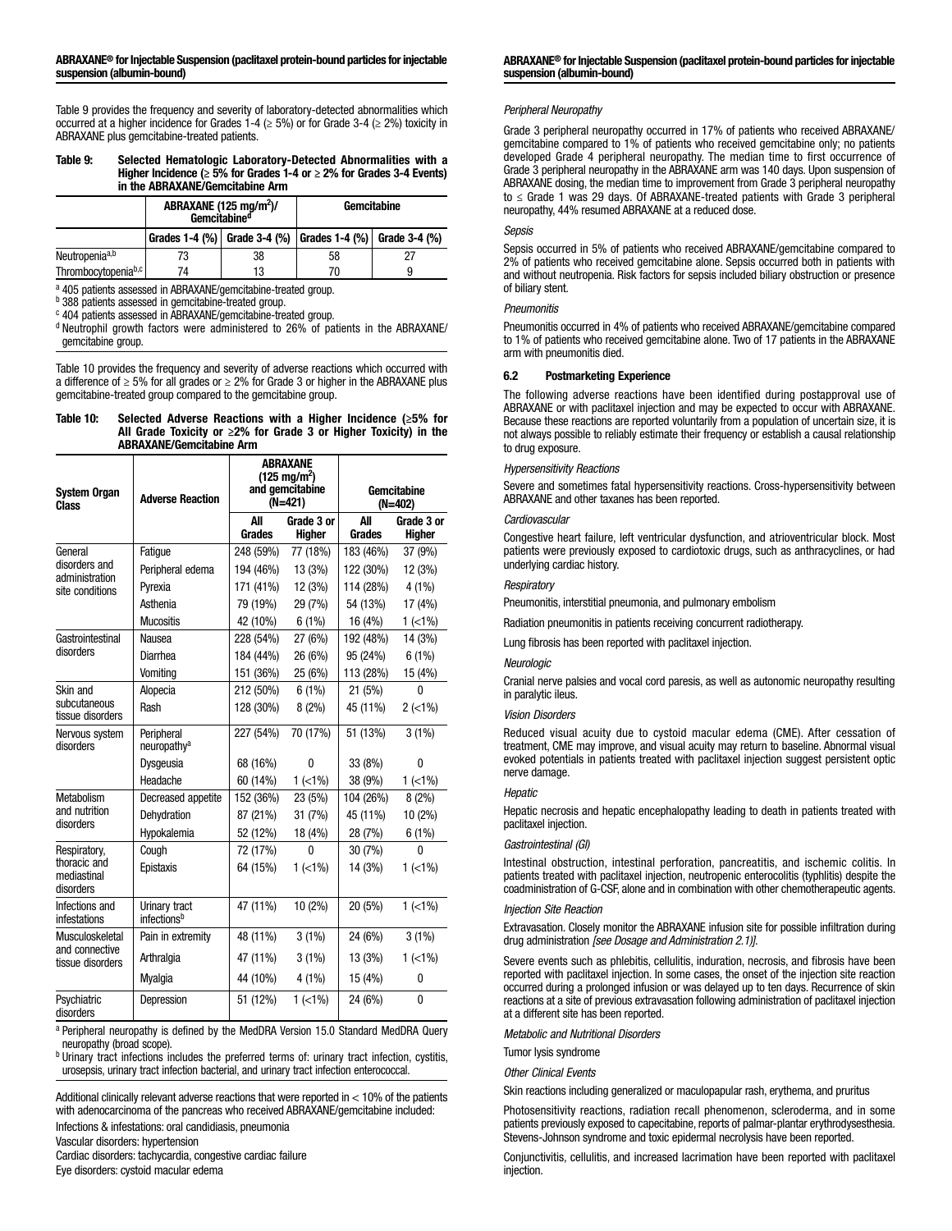#### ABRAXANE® for Injectable Suspension (paclitaxel protein-bound particles for injectable suspension (albumin-bound)

Table 9 provides the frequency and severity of laboratory-detected abnormalities which occurred at a higher incidence for Grades 1-4 ( $\geq$  5%) or for Grade 3-4 ( $\geq$  2%) toxicity in ABRAXANE plus gemcitabine-treated patients.

#### Table 9: Selected Hematologic Laboratory-Detected Abnormalities with a Higher Incidence ( $\geq$  5% for Grades 1-4 or  $\geq$  2% for Grades 3-4 Events) in the ABRAXANE/Gemcitabine Arm

|                                 | ABRAXANE (125 mg/m <sup>2</sup> )/<br>Gemcitabine <sup>d</sup> |    | Gemcitabine                                               |  |  |
|---------------------------------|----------------------------------------------------------------|----|-----------------------------------------------------------|--|--|
|                                 |                                                                |    | Grades 1-4 (%) Grade 3-4 (%) Grades 1-4 (%) Grade 3-4 (%) |  |  |
| Neutropenia <sup>a,b</sup>      | 73                                                             | 38 | 58                                                        |  |  |
| Thrombocytopenia <sup>b,c</sup> | 74                                                             | 13 | 9<br>70                                                   |  |  |

a 405 patients assessed in ABRAXANE/gemcitabine-treated group.

b 388 patients assessed in gemcitabine-treated group.

<sup>c</sup> 404 patients assessed in ABRAXANE/gemcitabine-treated group.

<sup>d</sup> Neutrophil growth factors were administered to 26% of patients in the ABRAXANE/ gemcitabine group.

Table 10 provides the frequency and severity of adverse reactions which occurred with a difference of ≥ 5% for all grades or ≥ 2% for Grade 3 or higher in the ABRAXANE plus gemcitabine-treated group compared to the gemcitabine group.

#### Table 10: Selected Adverse Reactions with a Higher Incidence (≥5% for All Grade Toxicity or  $\geq$ 2% for Grade 3 or Higher Toxicity) in the ABRAXANE/Gemcitabine Arm

| <b>System Organ</b><br>Class             | <b>Adverse Reaction</b>                  | ABRAXANE<br>$(125 \text{ mg/m}^2)$<br>and gemcitabine<br>(N=421) |                             | Gemcitabine<br>(N=402) |                             |
|------------------------------------------|------------------------------------------|------------------------------------------------------------------|-----------------------------|------------------------|-----------------------------|
|                                          |                                          | All<br><b>Grades</b>                                             | Grade 3 or<br><b>Higher</b> | All<br>Grades          | Grade 3 or<br><b>Higher</b> |
| General                                  | Fatique                                  | 248 (59%)                                                        | 77 (18%)                    | 183 (46%)              | 37 (9%)                     |
| disorders and<br>administration          | Peripheral edema                         | 194 (46%)                                                        | 13 (3%)                     | 122 (30%)              | 12 (3%)                     |
| site conditions                          | Pvrexia                                  | 171 (41%)                                                        | 12 (3%)                     | 114 (28%)              | 4 (1%)                      |
|                                          | Asthenia                                 | 79 (19%)                                                         | 29 (7%)                     | 54 (13%)               | 17 (4%)                     |
|                                          | <b>Mucositis</b>                         | 42 (10%)                                                         | 6(1%)                       | 16 (4%)                | $1$ (<1%)                   |
| Gastrointestinal                         | Nausea                                   | 228 (54%)                                                        | 27 (6%)                     | 192 (48%)              | 14 (3%)                     |
| disorders                                | Diarrhea                                 | 184 (44%)                                                        | 26 (6%)                     | 95 (24%)               | 6(1%)                       |
|                                          | Vomiting                                 | 151 (36%)                                                        | 25 (6%)                     | 113 (28%)              | 15 (4%)                     |
| Skin and                                 | Alopecia                                 | 212 (50%)                                                        | 6(1%)                       | 21 (5%)                | 0                           |
| subcutaneous<br>tissue disorders         | Rash                                     | 128 (30%)                                                        | 8(2%)                       | 45 (11%)               | $2$ (<1%)                   |
| Nervous system<br>disorders              | Peripheral<br>neuropathy <sup>a</sup>    | 227 (54%)                                                        | 70 (17%)                    | 51 (13%)               | $3(1\%)$                    |
|                                          | Dysgeusia                                | 68 (16%)                                                         | 0                           | 33 (8%)                | 0                           |
|                                          | Headache                                 | 60 (14%)                                                         | $1$ (<1%)                   | 38 (9%)                | $1$ (<1%)                   |
| Metabolism                               | Decreased appetite                       | 152 (36%)                                                        | 23 (5%)                     | 104 (26%)              | 8(2%)                       |
| and nutrition<br>disorders               | Dehydration                              | 87 (21%)                                                         | 31 (7%)                     | 45 (11%)               | 10 (2%)                     |
|                                          | Hypokalemia                              | 52 (12%)                                                         | 18 (4%)                     | 28 (7%)                | 6(1%)                       |
| Respiratory,                             | Cough                                    | 72 (17%)                                                         | 0                           | 30(7%)                 | 0                           |
| thoracic and<br>mediastinal<br>disorders | Epistaxis                                | 64 (15%)                                                         | $1$ ( $<$ 1%)               | 14 (3%)                | $1$ ( $<$ 1%)               |
| Infections and<br>infestations           | Urinary tract<br>infections <sup>b</sup> | 47 (11%)                                                         | $10(2\%)$                   | 20 (5%)                | $1$ (<1%)                   |
| Musculoskeletal                          | Pain in extremity                        | 48 (11%)                                                         | $3(1\%)$                    | 24 (6%)                | $3(1\%)$                    |
| and connective<br>tissue disorders       | Arthralgia                               | 47 (11%)                                                         | $3(1\%)$                    | 13 (3%)                | $1$ ( $<$ 1%)               |
|                                          | Myalgia                                  | 44 (10%)                                                         | 4 (1%)                      | 15 (4%)                | 0                           |
| Psychiatric<br>disorders                 | Depression                               | 51 (12%)                                                         | $1$ ( $<$ 1%)               | 24 (6%)                | 0                           |

a Peripheral neuropathy is defined by the MedDRA Version 15.0 Standard MedDRA Query neuropathy (broad scope).

b Urinary tract infections includes the preferred terms of: urinary tract infection, cystitis, urosepsis, urinary tract infection bacterial, and urinary tract infection enterococcal.

Additional clinically relevant adverse reactions that were reported in < 10% of the patients with adenocarcinoma of the pancreas who received ABRAXANE/gemcitabine included:

Infections & infestations: oral candidiasis, pneumonia

Vascular disorders: hypertension

Cardiac disorders: tachycardia, congestive cardiac failure

Eye disorders: cystoid macular edema

#### ABRAXANE® for Injectable Suspension (paclitaxel protein-bound particles for injectable suspension (albumin-bound)

### *Peripheral Neuropathy*

Grade 3 peripheral neuropathy occurred in 17% of patients who received ABRAXANE/ gemcitabine compared to 1% of patients who received gemcitabine only; no patients developed Grade 4 peripheral neuropathy. The median time to first occurrence of Grade 3 peripheral neuropathy in the ABRAXANE arm was 140 days. Upon suspension of ABRAXANE dosing, the median time to improvement from Grade 3 peripheral neuropathy to ≤ Grade 1 was 29 days. Of ABRAXANE-treated patients with Grade 3 peripheral neuropathy, 44% resumed ABRAXANE at a reduced dose.

### *Sepsis*

Sepsis occurred in 5% of patients who received ABRAXANE/gemcitabine compared to 2% of patients who received gemcitabine alone. Sepsis occurred both in patients with and without neutropenia. Risk factors for sepsis included biliary obstruction or presence of biliary stent.

## *Pneumonitis*

Pneumonitis occurred in 4% of patients who received ABRAXANE/gemcitabine compared to 1% of patients who received gemcitabine alone. Two of 17 patients in the ABRAXANE arm with pneumonitis died.

### 6.2 Postmarketing Experience

The following adverse reactions have been identified during postapproval use of ABRAXANE or with paclitaxel injection and may be expected to occur with ABRAXANE. Because these reactions are reported voluntarily from a population of uncertain size, it is not always possible to reliably estimate their frequency or establish a causal relationship to drug exposure.

#### *Hypersensitivity Reactions*

Severe and sometimes fatal hypersensitivity reactions. Cross-hypersensitivity between ABRAXANE and other taxanes has been reported.

#### *Cardiovascular*

Congestive heart failure, left ventricular dysfunction, and atrioventricular block. Most patients were previously exposed to cardiotoxic drugs, such as anthracyclines, or had underlying cardiac history.

### *Respiratory*

Pneumonitis, interstitial pneumonia, and pulmonary embolism

Radiation pneumonitis in patients receiving concurrent radiotherapy.

Lung fibrosis has been reported with paclitaxel injection.

#### *Neurologic*

Cranial nerve palsies and vocal cord paresis, as well as autonomic neuropathy resulting in paralytic ileus.

### *Vision Disorders*

Reduced visual acuity due to cystoid macular edema (CME). After cessation of treatment, CME may improve, and visual acuity may return to baseline. Abnormal visual evoked potentials in patients treated with paclitaxel injection suggest persistent optic nerve damage.

## *Hepatic*

Hepatic necrosis and hepatic encephalopathy leading to death in patients treated with paclitaxel injection.

#### *Gastrointestinal (GI)*

Intestinal obstruction, intestinal perforation, pancreatitis, and ischemic colitis. In patients treated with paclitaxel injection, neutropenic enterocolitis (typhlitis) despite the coadministration of G-CSF, alone and in combination with other chemotherapeutic agents.

#### *Injection Site Reaction*

Extravasation. Closely monitor the ABRAXANE infusion site for possible infiltration during drug administration *[see Dosage and Administration 2.1)]*.

Severe events such as phlebitis, cellulitis, induration, necrosis, and fibrosis have been reported with paclitaxel injection. In some cases, the onset of the injection site reaction occurred during a prolonged infusion or was delayed up to ten days. Recurrence of skin reactions at a site of previous extravasation following administration of paclitaxel injection at a different site has been reported.

*Metabolic and Nutritional Disorders*

Tumor lysis syndrome

*Other Clinical Events*

Skin reactions including generalized or maculopapular rash, erythema, and pruritus

Photosensitivity reactions, radiation recall phenomenon, scleroderma, and in some patients previously exposed to capecitabine, reports of palmar-plantar erythrodysesthesia. Stevens-Johnson syndrome and toxic epidermal necrolysis have been reported.

Conjunctivitis, cellulitis, and increased lacrimation have been reported with paclitaxel injection.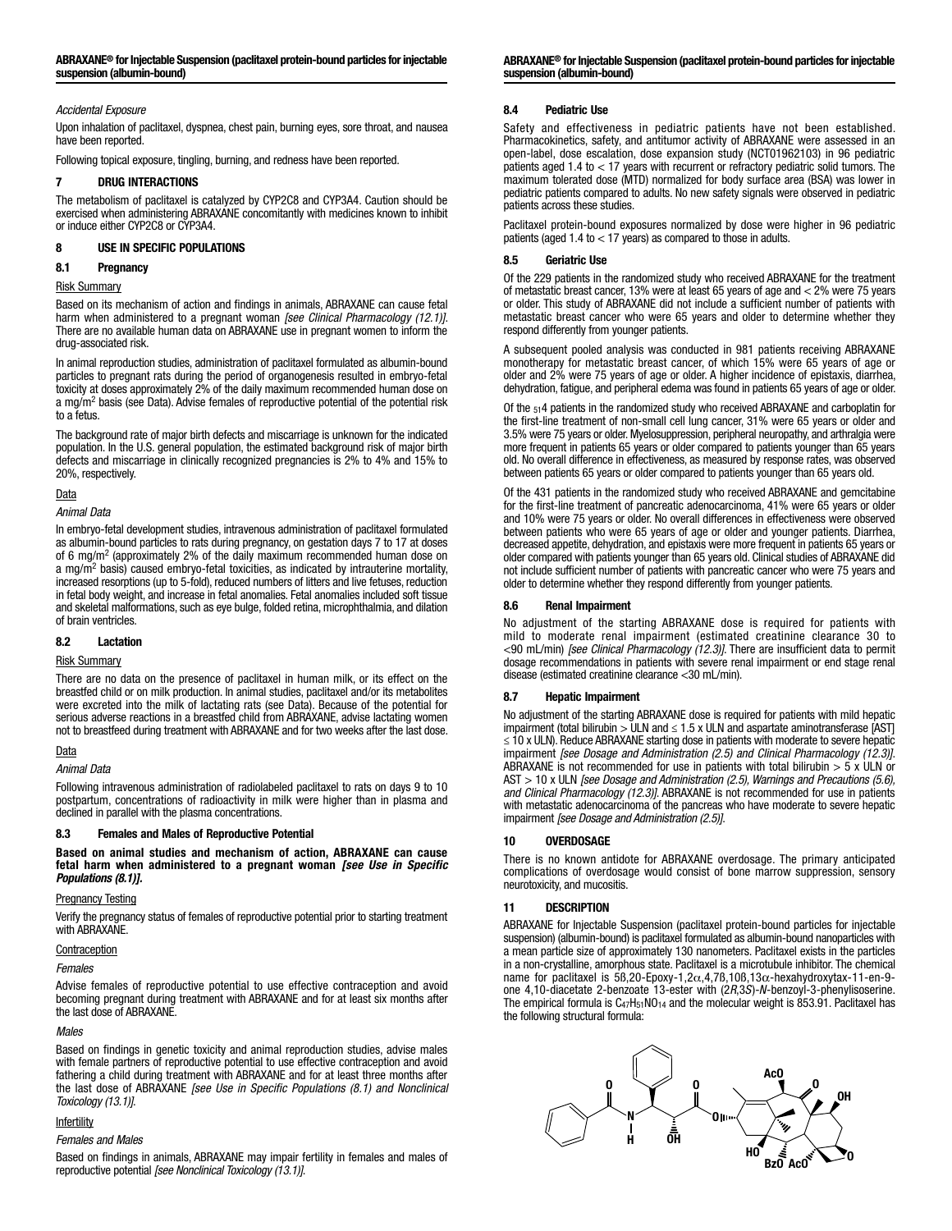## *Accidental Exposure*

Upon inhalation of paclitaxel, dyspnea, chest pain, burning eyes, sore throat, and nausea have been reported.

Following topical exposure, tingling, burning, and redness have been reported.

## 7 DRUG INTERACTIONS

The metabolism of paclitaxel is catalyzed by CYP2C8 and CYP3A4. Caution should be exercised when administering ABRAXANE concomitantly with medicines known to inhibit or induce either CYP2C8 or CYP3A4.

## 8 USE IN SPECIFIC POPULATIONS

## 8.1 Pregnancy

### Risk Summary

Based on its mechanism of action and findings in animals, ABRAXANE can cause fetal harm when administered to a pregnant woman *[see Clinical Pharmacology (12.1)]*. There are no available human data on ABRAXANE use in pregnant women to inform the drug-associated risk.

In animal reproduction studies, administration of paclitaxel formulated as albumin-bound particles to pregnant rats during the period of organogenesis resulted in embryo-fetal toxicity at doses approximately 2% of the daily maximum recommended human dose on a mg/m<sup>2</sup> basis (see Data). Advise females of reproductive potential of the potential risk to a fetus.

The background rate of major birth defects and miscarriage is unknown for the indicated population. In the U.S. general population, the estimated background risk of major birth defects and miscarriage in clinically recognized pregnancies is 2% to 4% and 15% to 20%, respectively.

## Data

*Animal Data*

In embryo-fetal development studies, intravenous administration of paclitaxel formulated as albumin-bound particles to rats during pregnancy, on gestation days 7 to 17 at doses of 6 mg/m2 (approximately 2% of the daily maximum recommended human dose on a mg/m<sup>2</sup> basis) caused embryo-fetal toxicities, as indicated by intrauterine mortality, increased resorptions (up to 5-fold), reduced numbers of litters and live fetuses, reduction in fetal body weight, and increase in fetal anomalies. Fetal anomalies included soft tissue and skeletal malformations, such as eye bulge, folded retina, microphthalmia, and dilation of brain ventricles.

## 8.2 Lactation

## Risk Summary

There are no data on the presence of paclitaxel in human milk, or its effect on the breastfed child or on milk production. In animal studies, paclitaxel and/or its metabolites were excreted into the milk of lactating rats (see Data). Because of the potential for serious adverse reactions in a breastfed child from ABRAXANE, advise lactating women not to breastfeed during treatment with ABRAXANE and for two weeks after the last dose.

## Data

*Animal Data*

Following intravenous administration of radiolabeled paclitaxel to rats on days 9 to 10 postpartum, concentrations of radioactivity in milk were higher than in plasma and declined in parallel with the plasma concentrations.

## 8.3 Females and Males of Reproductive Potential

Based on animal studies and mechanism of action, ABRAXANE can cause fetal harm when administered to a pregnant woman *[see Use in Specific Populations (8.1)].*

## Pregnancy Testing

Verify the pregnancy status of females of reproductive potential prior to starting treatment with ABRAXANE.

## **Contraception**

## *Females*

Advise females of reproductive potential to use effective contraception and avoid becoming pregnant during treatment with ABRAXANE and for at least six months after the last dose of ABRAXANE.

## *Males*

Based on findings in genetic toxicity and animal reproduction studies, advise males with female partners of reproductive potential to use effective contraception and avoid fathering a child during treatment with ABRAXANE and for at least three months after the last dose of ABRAXANE *[see Use in Specific Populations (8.1) and Nonclinical Toxicology (13.1)]*.

## Infertility

#### *Females and Males*

Based on findings in animals, ABRAXANE may impair fertility in females and males of reproductive potential *[see Nonclinical Toxicology (13.1)]*.

ABRAXANE® for Injectable Suspension (paclitaxel protein-bound particles for injectable suspension (albumin-bound)

## 8.4 Pediatric Use

Safety and effectiveness in pediatric patients have not been established. Pharmacokinetics, safety, and antitumor activity of ABRAXANE were assessed in an open-label, dose escalation, dose expansion study (NCT01962103) in 96 pediatric patients aged 1.4 to < 17 years with recurrent or refractory pediatric solid tumors. The maximum tolerated dose (MTD) normalized for body surface area (BSA) was lower in pediatric patients compared to adults. No new safety signals were observed in pediatric patients across these studies.

Paclitaxel protein-bound exposures normalized by dose were higher in 96 pediatric patients (aged  $1.4$  to  $<$  17 years) as compared to those in adults.

## 8.5 Geriatric Use

Of the 229 patients in the randomized study who received ABRAXANE for the treatment of metastatic breast cancer, 13% were at least 65 years of age and < 2% were 75 years or older. This study of ABRAXANE did not include a sufficient number of patients with metastatic breast cancer who were 65 years and older to determine whether they respond differently from younger patients.

A subsequent pooled analysis was conducted in 981 patients receiving ABRAXANE monotherapy for metastatic breast cancer, of which 15% were 65 years of age or older and 2% were 75 years of age or older. A higher incidence of epistaxis, diarrhea, dehydration, fatigue, and peripheral edema was found in patients 65 years of age or older.

Of the 514 patients in the randomized study who received ABRAXANE and carboplatin for the first-line treatment of non-small cell lung cancer, 31% were 65 years or older and 3.5% were 75 years or older. Myelosuppression, peripheral neuropathy, and arthralgia were more frequent in patients 65 years or older compared to patients younger than 65 years old. No overall difference in effectiveness, as measured by response rates, was observed between patients 65 years or older compared to patients younger than 65 years old.

Of the 431 patients in the randomized study who received ABRAXANE and gemcitabine for the first-line treatment of pancreatic adenocarcinoma, 41% were 65 years or older and 10% were 75 years or older. No overall differences in effectiveness were observed between patients who were 65 years of age or older and younger patients. Diarrhea, decreased appetite, dehydration, and epistaxis were more frequent in patients 65 years or older compared with patients younger than 65 years old. Clinical studies of ABRAXANE did not include sufficient number of patients with pancreatic cancer who were 75 years and older to determine whether they respond differently from younger patients.

## 8.6 Renal Impairment

No adjustment of the starting ABRAXANE dose is required for patients with mild to moderate renal impairment (estimated creatinine clearance 30 to <90 mL/min) *[see Clinical Pharmacology (12.3)]*. There are insufficient data to permit dosage recommendations in patients with severe renal impairment or end stage renal disease (estimated creatinine clearance <30 mL/min).

## 8.7 Hepatic Impairment

No adjustment of the starting ABRAXANE dose is required for patients with mild hepatic impairment (total bilirubin > ULN and  $\leq$  1.5 x ULN and aspartate aminotransferase [AST] ≤ 10 x ULN). Reduce ABRAXANE starting dose in patients with moderate to severe hepatic impairment *[see Dosage and Administration (2.5) and Clinical Pharmacology (12.3)]*. ABRAXANE is not recommended for use in patients with total bilirubin  $>$  5 x ULN or AST > 10 x ULN *[see Dosage and Administration (2.5), Warnings and Precautions (5.6), and Clinical Pharmacology (12.3)]*. ABRAXANE is not recommended for use in patients with metastatic adenocarcinoma of the pancreas who have moderate to severe hepatic impairment *[see Dosage and Administration (2.5)]*.

## 10 OVERDOSAGE

There is no known antidote for ABRAXANE overdosage. The primary anticipated complications of overdosage would consist of bone marrow suppression, sensory neurotoxicity, and mucositis.

## 11 DESCRIPTION

ABRAXANE for Injectable Suspension (paclitaxel protein-bound particles for injectable suspension) (albumin-bound) is paclitaxel formulated as albumin-bound nanoparticles with a mean particle size of approximately 130 nanometers. Paclitaxel exists in the particles in a non-crystalline, amorphous state. Paclitaxel is a microtubule inhibitor. The chemical name for paclitaxel is 58,20-Epoxy-1,2α,4,7β,10β,13α-hexahydroxytax-11-en-9one 4,10-diacetate 2-benzoate 13-ester with (2*R*,3*S*)-*N*-benzoyl-3-phenylisoserine. The empirical formula is  $C_{47}H_{51}NO_{14}$  and the molecular weight is 853.91. Paclitaxel has the following structural formula:

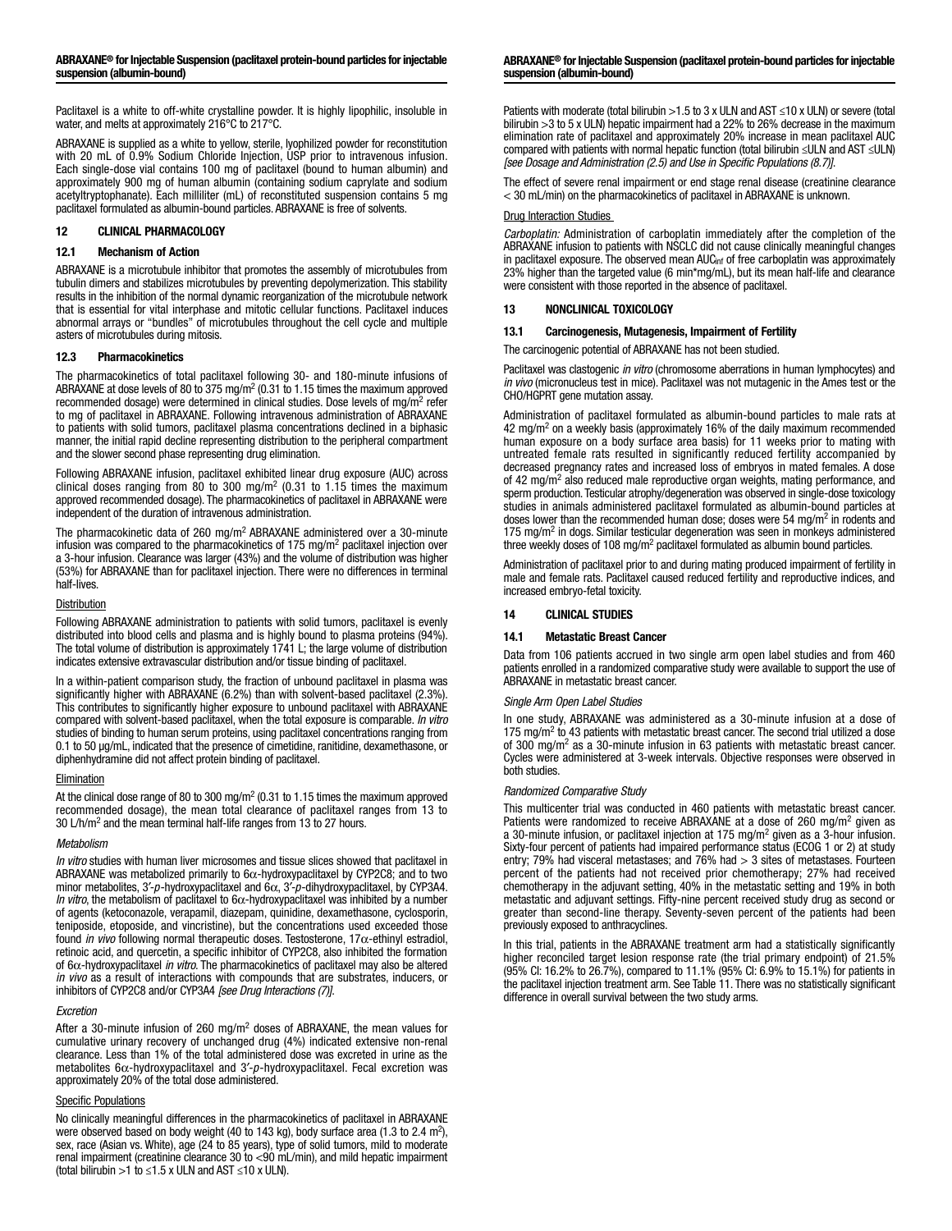Paclitaxel is a white to off-white crystalline powder. It is highly lipophilic, insoluble in water, and melts at approximately 216°C to 217°C.

ABRAXANE is supplied as a white to yellow, sterile, lyophilized powder for reconstitution with 20 mL of 0.9% Sodium Chloride Injection, USP prior to intravenous infusion. Each single-dose vial contains 100 mg of paclitaxel (bound to human albumin) and approximately 900 mg of human albumin (containing sodium caprylate and sodium acetyltryptophanate). Each milliliter (mL) of reconstituted suspension contains 5 mg paclitaxel formulated as albumin-bound particles. ABRAXANE is free of solvents.

## 12 CLINICAL PHARMACOLOGY

## 12.1 Mechanism of Action

ABRAXANE is a microtubule inhibitor that promotes the assembly of microtubules from tubulin dimers and stabilizes microtubules by preventing depolymerization. This stability results in the inhibition of the normal dynamic reorganization of the microtubule network that is essential for vital interphase and mitotic cellular functions. Paclitaxel induces abnormal arrays or "bundles" of microtubules throughout the cell cycle and multiple asters of microtubules during mitosis.

## 12.3 Pharmacokinetics

The pharmacokinetics of total paclitaxel following 30- and 180-minute infusions of ABRAXANE at dose levels of 80 to 375 mg/m<sup>2</sup> (0.31 to 1.15 times the maximum approved recommended dosage) were determined in clinical studies. Dose levels of mg/m<sup>2</sup> refer to mg of paclitaxel in ABRAXANE. Following intravenous administration of ABRAXANE to patients with solid tumors, paclitaxel plasma concentrations declined in a biphasic manner, the initial rapid decline representing distribution to the peripheral compartment and the slower second phase representing drug elimination.

Following ABRAXANE infusion, paclitaxel exhibited linear drug exposure (AUC) across clinical doses ranging from 80 to 300 mg/m<sup>2</sup> (0.31 to 1.15 times the maximum approved recommended dosage). The pharmacokinetics of paclitaxel in ABRAXANE were independent of the duration of intravenous administration.

The pharmacokinetic data of 260 mg/m<sup>2</sup> ABRAXANE administered over a 30-minute infusion was compared to the pharmacokinetics of 175 mg/m<sup>2</sup> paclitaxel injection over a 3-hour infusion. Clearance was larger (43%) and the volume of distribution was higher (53%) for ABRAXANE than for paclitaxel injection. There were no differences in terminal half-lives.

## **Distribution**

Following ABRAXANE administration to patients with solid tumors, paclitaxel is evenly distributed into blood cells and plasma and is highly bound to plasma proteins (94%). The total volume of distribution is approximately 1741 L; the large volume of distribution indicates extensive extravascular distribution and/or tissue binding of paclitaxel.

In a within-patient comparison study, the fraction of unbound paclitaxel in plasma was significantly higher with ABRAXANE (6.2%) than with solvent-based paclitaxel (2.3%). This contributes to significantly higher exposure to unbound paclitaxel with ABRAXANE compared with solvent-based paclitaxel, when the total exposure is comparable. *In vitro* studies of binding to human serum proteins, using paclitaxel concentrations ranging from 0.1 to 50 µg/mL, indicated that the presence of cimetidine, ranitidine, dexamethasone, or diphenhydramine did not affect protein binding of paclitaxel.

#### Elimination

At the clinical dose range of 80 to 300 mg/m<sup>2</sup> (0.31 to 1.15 times the maximum approved recommended dosage), the mean total clearance of paclitaxel ranges from 13 to 30 L/h/m2 and the mean terminal half-life ranges from 13 to 27 hours.

#### *Metabolism*

*In vitro* studies with human liver microsomes and tissue slices showed that paclitaxel in ABRAXANE was metabolized primarily to  $6\alpha$ -hydroxypaclitaxel by CYP2C8; and to two minor metabolites, 3′-*p*-hydroxypaclitaxel and 6α, 3′-*p*-dihydroxypaclitaxel, by CYP3A4. *In vitro*, the metabolism of paclitaxel to 6α-hydroxypaclitaxel was inhibited by a number of agents (ketoconazole, verapamil, diazepam, quinidine, dexamethasone, cyclosporin, teniposide, etoposide, and vincristine), but the concentrations used exceeded those found *in vivo* following normal therapeutic doses. Testosterone, 17α-ethinyl estradiol, retinoic acid, and quercetin, a specific inhibitor of CYP2C8, also inhibited the formation of 6α-hydroxypaclitaxel *in vitro*. The pharmacokinetics of paclitaxel may also be altered *in vivo* as a result of interactions with compounds that are substrates, inducers, or inhibitors of CYP2C8 and/or CYP3A4 *[see Drug Interactions (7)]*.

## *Excretion*

After a 30-minute infusion of 260 mg/m2 doses of ABRAXANE, the mean values for cumulative urinary recovery of unchanged drug (4%) indicated extensive non-renal clearance. Less than 1% of the total administered dose was excreted in urine as the metabolites 6α-hydroxypaclitaxel and 3′-*p*-hydroxypaclitaxel. Fecal excretion was approximately 20% of the total dose administered.

## Specific Populations

No clinically meaningful differences in the pharmacokinetics of paclitaxel in ABRAXANE were observed based on body weight (40 to 143 kg), body surface area (1.3 to 2.4 m<sup>2</sup>), sex, race (Asian vs. White), age (24 to 85 years), type of solid tumors, mild to moderate renal impairment (creatinine clearance 30 to <90 mL/min), and mild hepatic impairment (total bilirubin >1 to ≤1.5 x ULN and AST ≤10 x ULN).

#### ABRAXANE® for Injectable Suspension (paclitaxel protein-bound particles for injectable suspension (albumin-bound)

Patients with moderate (total bilirubin >1.5 to 3 x ULN and AST ≤10 x ULN) or severe (total bilirubin >3 to 5 x ULN) hepatic impairment had a 22% to 26% decrease in the maximum elimination rate of paclitaxel and approximately 20% increase in mean paclitaxel AUC compared with patients with normal hepatic function (total bilirubin ≤ULN and AST ≤ULN) *[see Dosage and Administration (2.5) and Use in Specific Populations (8.7)]*.

The effect of severe renal impairment or end stage renal disease (creatinine clearance < 30 mL/min) on the pharmacokinetics of paclitaxel in ABRAXANE is unknown.

### Drug Interaction Studies

*Carboplatin:* Administration of carboplatin immediately after the completion of the ABRAXANE infusion to patients with NSCLC did not cause clinically meaningful changes in paclitaxel exposure. The observed mean  $AUC_{inf}$  of free carboplatin was approximately 23% higher than the targeted value (6 min\*mg/mL), but its mean half-life and clearance were consistent with those reported in the absence of paclitaxel.

### 13 NONCLINICAL TOXICOLOGY

#### 13.1 Carcinogenesis, Mutagenesis, Impairment of Fertility

The carcinogenic potential of ABRAXANE has not been studied.

Paclitaxel was clastogenic *in vitro* (chromosome aberrations in human lymphocytes) and *in vivo* (micronucleus test in mice). Paclitaxel was not mutagenic in the Ames test or the CHO/HGPRT gene mutation assay.

Administration of paclitaxel formulated as albumin-bound particles to male rats at 42 mg/m<sup>2</sup> on a weekly basis (approximately 16% of the daily maximum recommended human exposure on a body surface area basis) for 11 weeks prior to mating with untreated female rats resulted in significantly reduced fertility accompanied by decreased pregnancy rates and increased loss of embryos in mated females. A dose of 42 mg/m<sup>2</sup> also reduced male reproductive organ weights, mating performance, and sperm production. Testicular atrophy/degeneration was observed in single-dose toxicology studies in animals administered paclitaxel formulated as albumin-bound particles at doses lower than the recommended human dose; doses were 54 mg/m<sup>2</sup> in rodents and 175 mg/m<sup>2</sup> in dogs. Similar testicular degeneration was seen in monkeys administered three weekly doses of 108 mg/m<sup>2</sup> paclitaxel formulated as albumin bound particles.

Administration of paclitaxel prior to and during mating produced impairment of fertility in male and female rats. Paclitaxel caused reduced fertility and reproductive indices, and increased embryo-fetal toxicity.

### 14 CLINICAL STUDIES

#### 14.1 Metastatic Breast Cancer

Data from 106 patients accrued in two single arm open label studies and from 460 patients enrolled in a randomized comparative study were available to support the use of ABRAXANE in metastatic breast cancer.

### *Single Arm Open Label Studies*

In one study, ABRAXANE was administered as a 30-minute infusion at a dose of 175 mg/ $m<sup>2</sup>$  to 43 patients with metastatic breast cancer. The second trial utilized a dose of 300 mg/m<sup>2</sup> as a 30-minute infusion in 63 patients with metastatic breast cancer. Cycles were administered at 3-week intervals. Objective responses were observed in both studies.

### *Randomized Comparative Study*

This multicenter trial was conducted in 460 patients with metastatic breast cancer. Patients were randomized to receive ABRAXANE at a dose of 260 mg/m2 given as a 30-minute infusion, or paclitaxel injection at 175 mg/m<sup>2</sup> given as a 3-hour infusion. Sixty-four percent of patients had impaired performance status (ECOG 1 or 2) at study entry; 79% had visceral metastases; and 76% had > 3 sites of metastases. Fourteen percent of the patients had not received prior chemotherapy; 27% had received chemotherapy in the adjuvant setting, 40% in the metastatic setting and 19% in both metastatic and adjuvant settings. Fifty-nine percent received study drug as second or greater than second-line therapy. Seventy-seven percent of the patients had been previously exposed to anthracyclines.

In this trial, patients in the ABRAXANE treatment arm had a statistically significantly higher reconciled target lesion response rate (the trial primary endpoint) of 21.5% (95% CI: 16.2% to 26.7%), compared to 11.1% (95% CI: 6.9% to 15.1%) for patients in the paclitaxel injection treatment arm. See Table 11. There was no statistically significant difference in overall survival between the two study arms.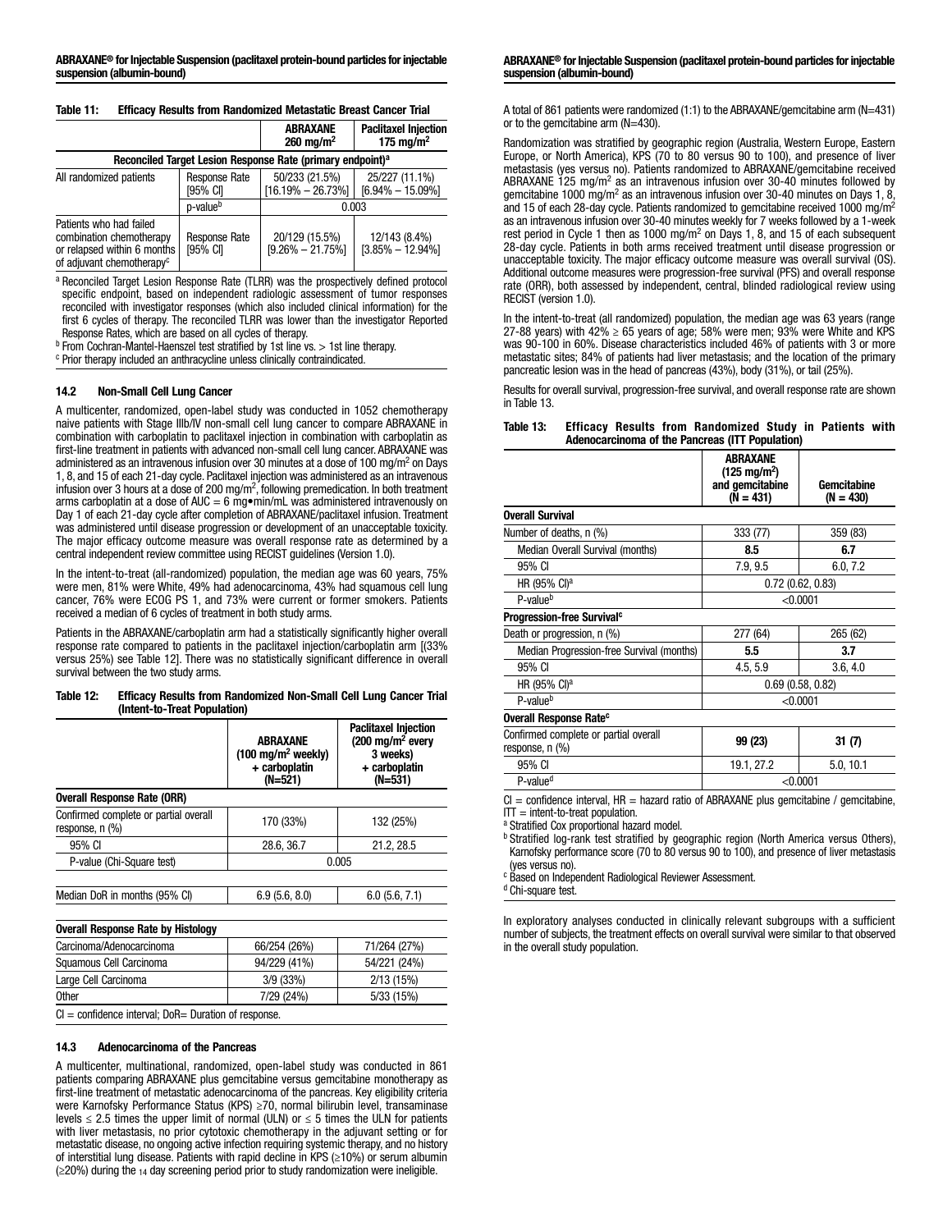| Table 11: | <b>Efficacy Results from Randomized Metastatic Breast Cancer Trial</b> |  |  |  |
|-----------|------------------------------------------------------------------------|--|--|--|
|           |                                                                        |  |  |  |

|                                                                                                                             |                                  | <b>ABRAXANE</b><br>$260 \; \text{ma/m}^2$ | <b>Paclitaxel Injection</b><br>175 mg/m <sup>2</sup> |  |  |  |  |
|-----------------------------------------------------------------------------------------------------------------------------|----------------------------------|-------------------------------------------|------------------------------------------------------|--|--|--|--|
| Reconciled Target Lesion Response Rate (primary endpoint) <sup>a</sup>                                                      |                                  |                                           |                                                      |  |  |  |  |
| All randomized patients                                                                                                     | Response Rate<br>[95% CI]        | 50/233 (21.5%)<br>$[16.19\% - 26.73\%]$   | 25/227 (11.1%)<br>$[6.94\% - 15.09\%]$               |  |  |  |  |
|                                                                                                                             | p-value <sup>b</sup>             | 0.003                                     |                                                      |  |  |  |  |
| Patients who had failed<br>combination chemotherapy<br>or relapsed within 6 months<br>of adjuvant chemotherapy <sup>c</sup> | <b>Response Rate</b><br>[95% CI] | 20/129 (15.5%)<br>$[9.26\% - 21.75\%]$    | 12/143 (8.4%)<br>$[3.85\% - 12.94\%]$                |  |  |  |  |

a Reconciled Target Lesion Response Rate (TLRR) was the prospectively defined protocol specific endpoint, based on independent radiologic assessment of tumor responses reconciled with investigator responses (which also included clinical information) for the first 6 cycles of therapy. The reconciled TLRR was lower than the investigator Reported Response Rates, which are based on all cycles of therapy.

<sup>b</sup> From Cochran-Mantel-Haenszel test stratified by 1st line vs. > 1st line therapy.

<sup>c</sup> Prior therapy included an anthracycline unless clinically contraindicated.

### 14.2 Non-Small Cell Lung Cancer

A multicenter, randomized, open-label study was conducted in 1052 chemotherapy naive patients with Stage IIIb/IV non-small cell lung cancer to compare ABRAXANE in combination with carboplatin to paclitaxel injection in combination with carboplatin as first-line treatment in patients with advanced non-small cell lung cancer. ABRAXANE was administered as an intravenous infusion over 30 minutes at a dose of 100 mg/m<sup>2</sup> on Days 1, 8, and 15 of each 21-day cycle. Paclitaxel injection was administered as an intravenous infusion over 3 hours at a dose of 200 mg/m<sup>2</sup>, following premedication. In both treatment arms carboplatin at a dose of AUC = 6 mg•min/mL was administered intravenously on Day 1 of each 21-day cycle after completion of ABRAXANE/paclitaxel infusion. Treatment was administered until disease progression or development of an unacceptable toxicity. The major efficacy outcome measure was overall response rate as determined by a central independent review committee using RECIST guidelines (Version 1.0).

In the intent-to-treat (all-randomized) population, the median age was 60 years, 75% were men, 81% were White, 49% had adenocarcinoma, 43% had squamous cell lung cancer, 76% were ECOG PS 1, and 73% were current or former smokers. Patients received a median of 6 cycles of treatment in both study arms.

Patients in the ABRAXANE/carboplatin arm had a statistically significantly higher overall response rate compared to patients in the paclitaxel injection/carboplatin arm [(33% versus 25%) see Table 12]. There was no statistically significant difference in overall survival between the two study arms.

#### Table 12: Efficacy Results from Randomized Non-Small Cell Lung Cancer Trial (Intent-to-Treat Population)

|                                                          | ABRAXANE<br>$(100 \text{ mg/m}^2 \text{ weekly})$<br>+ carboplatin<br>(N=521) | <b>Paclitaxel Injection</b><br>(200 ma/m <sup>2</sup> every<br>3 weeks)<br>+ carboplatin<br>(N=531) |  |
|----------------------------------------------------------|-------------------------------------------------------------------------------|-----------------------------------------------------------------------------------------------------|--|
| <b>Overall Response Rate (ORR)</b>                       |                                                                               |                                                                                                     |  |
| Confirmed complete or partial overall<br>response, n (%) | 170 (33%)                                                                     | 132 (25%)                                                                                           |  |
| 95% CI                                                   | 28.6, 36.7                                                                    | 21.2, 28.5                                                                                          |  |
| P-value (Chi-Square test)                                | 0.005                                                                         |                                                                                                     |  |
|                                                          |                                                                               |                                                                                                     |  |
| Median DoR in months (95% CI)                            | 6.9(5.6, 8.0)                                                                 | 6.0(5.6, 7.1)                                                                                       |  |
| <b>Overall Response Rate by Histology</b>                |                                                                               |                                                                                                     |  |
| Carcinoma/Adenocarcinoma                                 | 66/254 (26%)                                                                  | 71/264 (27%)                                                                                        |  |
| Squamous Cell Carcinoma                                  | 94/229 (41%)                                                                  | 54/221 (24%)                                                                                        |  |
| Large Cell Carcinoma                                     | 3/9 (33%)                                                                     | 2/13(15%)                                                                                           |  |
| <b>Other</b>                                             | 7/29 (24%)                                                                    | 5/33(15%)                                                                                           |  |

 $Cl =$  confidence interval; DoR= Duration of response.

### 14.3 Adenocarcinoma of the Pancreas

A multicenter, multinational, randomized, open-label study was conducted in 861 patients comparing ABRAXANE plus gemcitabine versus gemcitabine monotherapy as first-line treatment of metastatic adenocarcinoma of the pancreas. Key eligibility criteria were Karnofsky Performance Status (KPS) ≥70, normal bilirubin level, transaminase levels  $\leq$  2.5 times the upper limit of normal (ULN) or  $\leq$  5 times the ULN for patients with liver metastasis, no prior cytotoxic chemotherapy in the adjuvant setting or for metastatic disease, no ongoing active infection requiring systemic therapy, and no history of interstitial lung disease. Patients with rapid decline in KPS (≥10%) or serum albumin (≥20%) during the 14 day screening period prior to study randomization were ineligible.

A total of 861 patients were randomized (1:1) to the ABRAXANE/gemcitabine arm ( $N=431$ ) or to the gemcitabine arm (N=430).

Randomization was stratified by geographic region (Australia, Western Europe, Eastern Europe, or North America), KPS (70 to 80 versus 90 to 100), and presence of liver metastasis (yes versus no). Patients randomized to ABRAXANE/gemcitabine received ABRAXANE  $125 \text{ mg/m}^2$  as an intravenous infusion over 30-40 minutes followed by gemcitabine 1000 mg/m<sup>2</sup> as an intravenous infusion over 30-40 minutes on Days 1, 8, and 15 of each 28-day cycle. Patients randomized to gemcitabine received 1000 mg/m<sup>2</sup> as an intravenous infusion over 30-40 minutes weekly for 7 weeks followed by a 1-week rest period in Cycle 1 then as 1000 mg/m<sup>2</sup> on Days 1, 8, and 15 of each subsequent 28-day cycle. Patients in both arms received treatment until disease progression or unacceptable toxicity. The major efficacy outcome measure was overall survival (OS). Additional outcome measures were progression-free survival (PFS) and overall response rate (ORR), both assessed by independent, central, blinded radiological review using RECIST (version 1.0).

In the intent-to-treat (all randomized) population, the median age was 63 years (range 27-88 years) with  $42\% \ge 65$  years of age; 58% were men; 93% were White and KPS was 90-100 in 60%. Disease characteristics included 46% of patients with 3 or more metastatic sites; 84% of patients had liver metastasis; and the location of the primary pancreatic lesion was in the head of pancreas (43%), body (31%), or tail (25%).

Results for overall survival, progression-free survival, and overall response rate are shown in Table 13.

Table 13: Efficacy Results from Randomized Study in Patients with Adenocarcinoma of the Pancreas (ITT Population)

|                                                          | <b>ABRAXANE</b><br>$(125 \text{ mg/m}^2)$<br>and gemcitabine<br>$(N = 431)$ | Gemcitabine<br>$(N = 430)$ |  |
|----------------------------------------------------------|-----------------------------------------------------------------------------|----------------------------|--|
| <b>Overall Survival</b>                                  |                                                                             |                            |  |
| Number of deaths, n (%)                                  | 333 (77)                                                                    | 359 (83)                   |  |
| Median Overall Survival (months)                         | 8.5                                                                         | 6.7                        |  |
| 95% CI                                                   | 7.9, 9.5                                                                    | 6.0, 7.2                   |  |
| HR (95% CI) <sup>a</sup>                                 | $0.72$ (0.62, 0.83)                                                         |                            |  |
| P-value <sup>b</sup>                                     | < 0.0001                                                                    |                            |  |
| <b>Progression-free Survival<sup>c</sup></b>             |                                                                             |                            |  |
| Death or progression, n (%)                              | 277 (64)                                                                    | 265 (62)                   |  |
| Median Progression-free Survival (months)                | 5.5                                                                         | 3.7                        |  |
| 95% CI                                                   | 4.5, 5.9                                                                    | 3.6, 4.0                   |  |
| HR (95% CI) <sup>a</sup>                                 | $0.69$ $(0.58, 0.82)$                                                       |                            |  |
| P-value <sup>b</sup>                                     | < 0.0001                                                                    |                            |  |
| Overall Response Rate <sup>c</sup>                       |                                                                             |                            |  |
| Confirmed complete or partial overall<br>response, n (%) | 99 (23)                                                                     | 31 (7)                     |  |
| 95% CI                                                   | 19.1, 27.2                                                                  | 5.0, 10.1                  |  |
| P-value <sup>d</sup>                                     | < 0.0001                                                                    |                            |  |
|                                                          |                                                                             |                            |  |

 $Cl =$  confidence interval,  $HR =$  hazard ratio of ABRAXANE plus gemcitabine / gemcitabine,  $IT =$  intent-to-treat population.

a Stratified Cox proportional hazard model.

**b Stratified log-rank test stratified by geographic region (North America versus Others),** Karnofsky performance score (70 to 80 versus 90 to 100), and presence of liver metastasis (yes versus no).

<sup>c</sup> Based on Independent Radiological Reviewer Assessment.

<sup>d</sup> Chi-square test.

In exploratory analyses conducted in clinically relevant subgroups with a sufficient number of subjects, the treatment effects on overall survival were similar to that observed in the overall study population.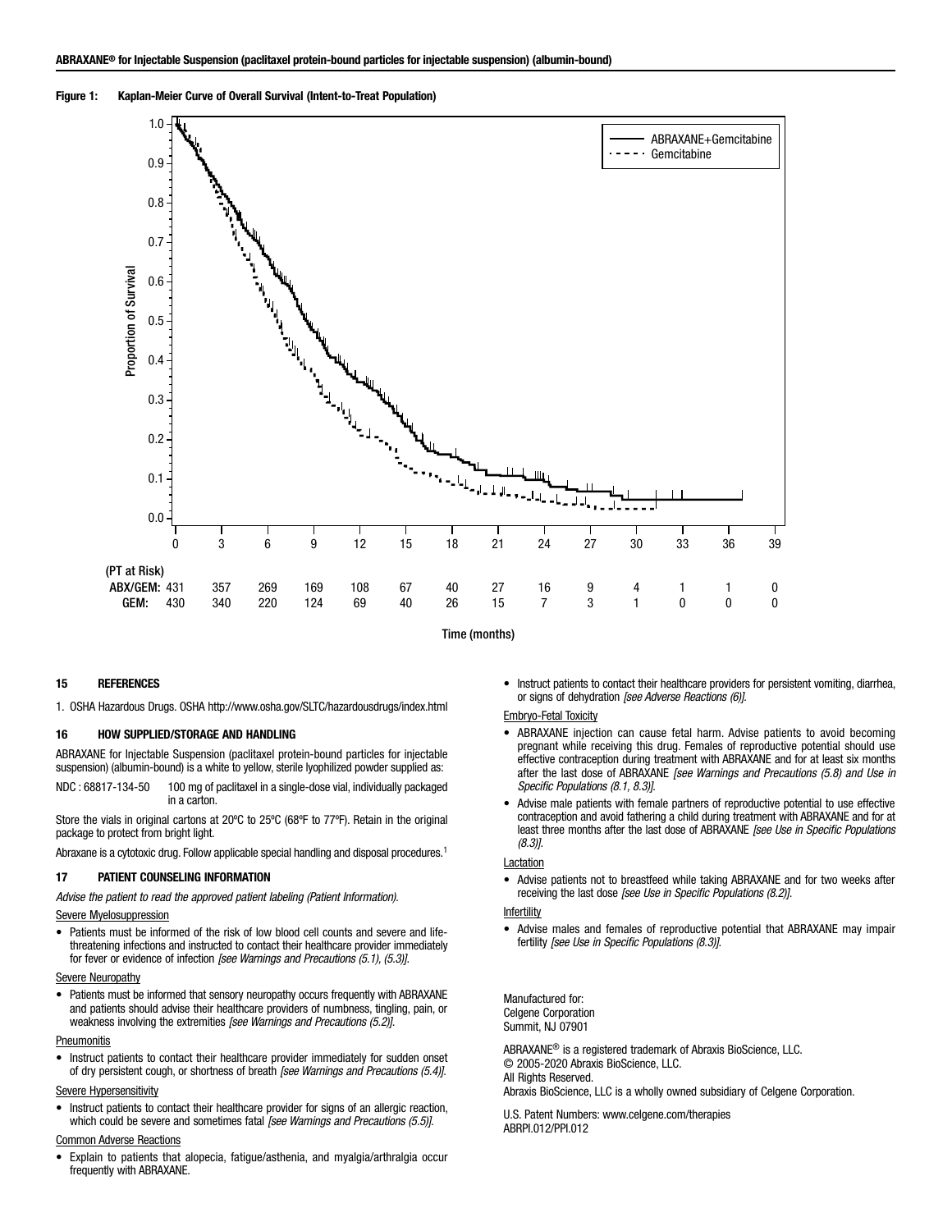### Figure 1: Kaplan-Meier Curve of Overall Survival (Intent-to-Treat Population)



Time (months)

## 15 REFERENCES

1. OSHA Hazardous Drugs. OSHA http://www.osha.gov/SLTC/hazardousdrugs/index.html

## 16 HOW SUPPLIED/STORAGE AND HANDLING

ABRAXANE for Injectable Suspension (paclitaxel protein-bound particles for injectable suspension) (albumin-bound) is a white to yellow, sterile lyophilized powder supplied as:

Store the vials in original cartons at 20ºC to 25ºC (68ºF to 77ºF). Retain in the original package to protect from bright light.

Abraxane is a cytotoxic drug. Follow applicable special handling and disposal procedures.<sup>1</sup>

#### 17 PATIENT COUNSELING INFORMATION

*Advise the patient to read the approved patient labeling (Patient Information).*

### Severe Myelosuppression

• Patients must be informed of the risk of low blood cell counts and severe and lifethreatening infections and instructed to contact their healthcare provider immediately for fever or evidence of infection *[see Warnings and Precautions (5.1), (5.3)]*.

#### **Severe Neuropathy**

• Patients must be informed that sensory neuropathy occurs frequently with ABRAXANE and patients should advise their healthcare providers of numbness, tingling, pain, or weakness involving the extremities *[see Warnings and Precautions (5.2)]*.

#### **Pneumonitis**

• Instruct patients to contact their healthcare provider immediately for sudden onset of dry persistent cough, or shortness of breath *[see Warnings and Precautions (5.4)]*.

#### Severe Hypersensitivity

• Instruct patients to contact their healthcare provider for signs of an allergic reaction, which could be severe and sometimes fatal *[see Warnings and Precautions (5.5)]*.

#### Common Adverse Reactions

• Explain to patients that alopecia, fatigue/asthenia, and myalgia/arthralgia occur frequently with ABRAXANE.

• Instruct patients to contact their healthcare providers for persistent vomiting, diarrhea, or signs of dehydration *[see Adverse Reactions (6)]*.

#### Embryo-Fetal Toxicity

- ABRAXANE injection can cause fetal harm. Advise patients to avoid becoming pregnant while receiving this drug. Females of reproductive potential should use effective contraception during treatment with ABRAXANE and for at least six months after the last dose of ABRAXANE *[see Warnings and Precautions (5.8) and Use in Specific Populations (8.1, 8.3)]*.
- Advise male patients with female partners of reproductive potential to use effective contraception and avoid fathering a child during treatment with ABRAXANE and for at least three months after the last dose of ABRAXANE *[see Use in Specific Populations (8.3)]*.

#### **Lactation**

• Advise patients not to breastfeed while taking ABRAXANE and for two weeks after receiving the last dose *[see Use in Specific Populations (8.2)]*.

#### **Infertility**

• Advise males and females of reproductive potential that ABRAXANE may impair fertility *[see Use in Specific Populations (8.3)]*.

Manufactured for: Celgene Corporation Summit, NJ 07901

ABRAXANE® is a registered trademark of Abraxis BioScience, LLC. © 2005-2020 Abraxis BioScience, LLC. All Rights Reserved. Abraxis BioScience, LLC is a wholly owned subsidiary of Celgene Corporation.

U.S. Patent Numbers: www.celgene.com/therapies ABRPI.012/PPI.012

NDC : 68817-134-50 100 mg of paclitaxel in a single-dose vial, individually packaged in a carton.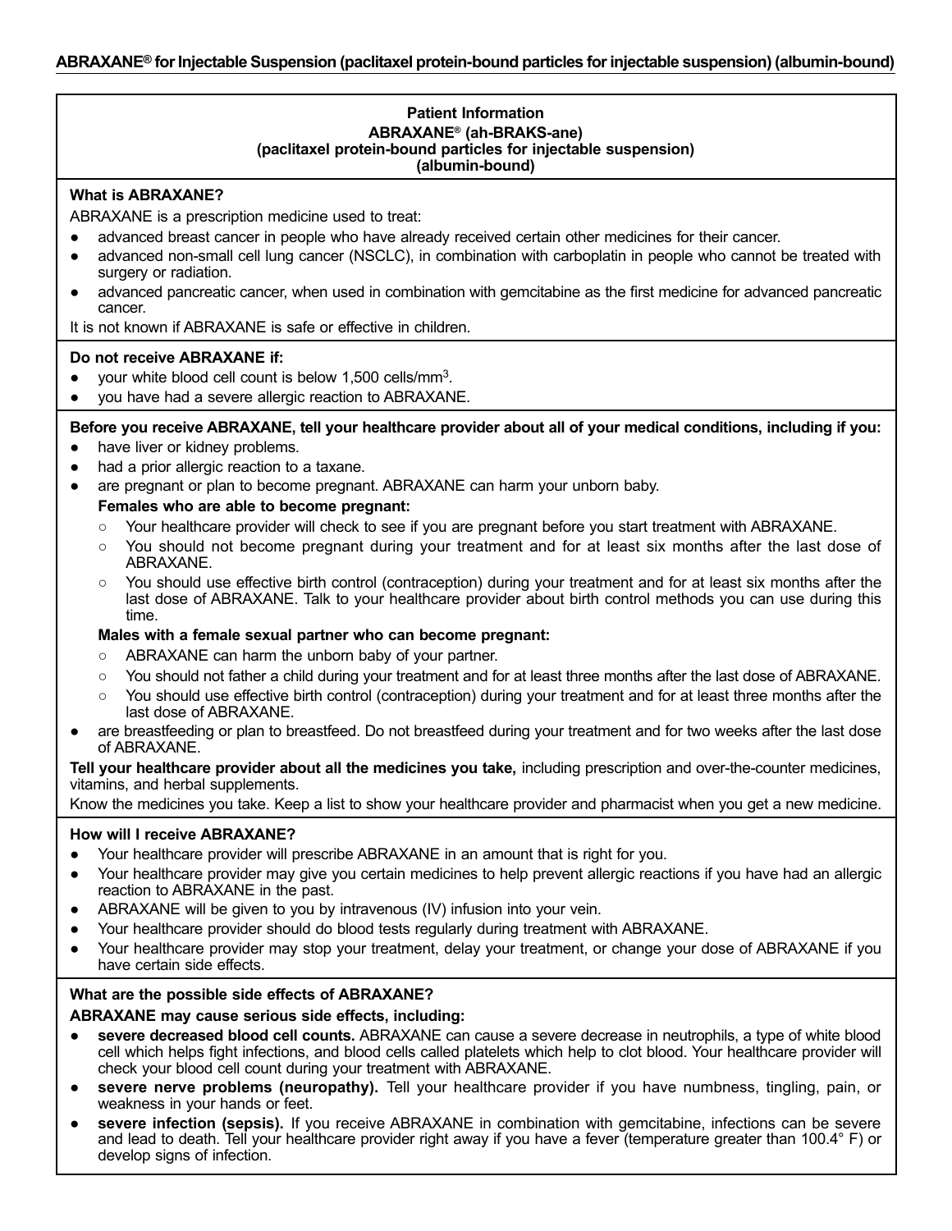# **Patient Information ABRAXANE® (ah-BRAKS-ane) (paclitaxel protein-bound particles for injectable suspension) (albumin-bound)**

# **What is ABRAXANE?**

ABRAXANE is a prescription medicine used to treat:

- advanced breast cancer in people who have already received certain other medicines for their cancer.
- advanced non-small cell lung cancer (NSCLC), in combination with carboplatin in people who cannot be treated with surgery or radiation.
- advanced pancreatic cancer, when used in combination with gemcitabine as the first medicine for advanced pancreatic cancer.

It is not known if ABRAXANE is safe or effective in children.

# **Do not receive ABRAXANE if:**

- your white blood cell count is below  $1,500$  cells/mm<sup>3</sup>.
- you have had a severe allergic reaction to ABRAXANE.

# **Before you receive ABRAXANE, tell your healthcare provider about all of your medical conditions, including if you:**

- have liver or kidney problems.
- had a prior allergic reaction to a taxane.
- are pregnant or plan to become pregnant. ABRAXANE can harm your unborn baby. **Females who are able to become pregnant:**
	- Your healthcare provider will check to see if you are pregnant before you start treatment with ABRAXANE.
	- You should not become pregnant during your treatment and for at least six months after the last dose of ABRAXANE.
	- You should use effective birth control (contraception) during your treatment and for at least six months after the last dose of ABRAXANE. Talk to your healthcare provider about birth control methods you can use during this time.

# **Males with a female sexual partner who can become pregnant:**

- ABRAXANE can harm the unborn baby of your partner.
- You should not father a child during your treatment and for at least three months after the last dose of ABRAXANE.
- You should use effective birth control (contraception) during your treatment and for at least three months after the last dose of ABRAXANE.
- are breastfeeding or plan to breastfeed. Do not breastfeed during your treatment and for two weeks after the last dose of ABRAXANE.

**Tell your healthcare provider about all the medicines you take,** including prescription and over-the-counter medicines, vitamins, and herbal supplements.

Know the medicines you take. Keep a list to show your healthcare provider and pharmacist when you get a new medicine.

# **How will I receive ABRAXANE?**

- Your healthcare provider will prescribe ABRAXANE in an amount that is right for you.
- Your healthcare provider may give you certain medicines to help prevent allergic reactions if you have had an allergic reaction to ABRAXANE in the past.
- ABRAXANE will be given to you by intravenous (IV) infusion into your vein.
- Your healthcare provider should do blood tests regularly during treatment with ABRAXANE.
- Your healthcare provider may stop your treatment, delay your treatment, or change your dose of ABRAXANE if you have certain side effects.

# **What are the possible side effects of ABRAXANE?**

# **ABRAXANE may cause serious side effects, including:**

- **severe decreased blood cell counts.** ABRAXANE can cause a severe decrease in neutrophils, a type of white blood cell which helps fight infections, and blood cells called platelets which help to clot blood. Your healthcare provider will check your blood cell count during your treatment with ABRAXANE.
- **severe nerve problems (neuropathy).** Tell your healthcare provider if you have numbness, tingling, pain, or weakness in your hands or feet.
- **severe infection (sepsis).** If you receive ABRAXANE in combination with gemcitabine, infections can be severe and lead to death. Tell your healthcare provider right away if you have a fever (temperature greater than 100.4° F) or develop signs of infection.